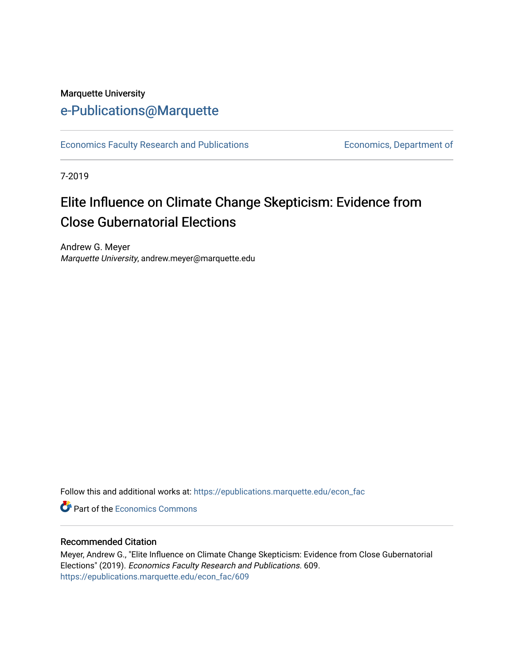## Marquette University [e-Publications@Marquette](https://epublications.marquette.edu/)

[Economics Faculty Research and Publications](https://epublications.marquette.edu/econ_fac) **Economics**, Department of

7-2019

# Elite Influence on Climate Change Skepticism: Evidence from Close Gubernatorial Elections

Andrew G. Meyer Marquette University, andrew.meyer@marquette.edu

Follow this and additional works at: [https://epublications.marquette.edu/econ\\_fac](https://epublications.marquette.edu/econ_fac?utm_source=epublications.marquette.edu%2Fecon_fac%2F609&utm_medium=PDF&utm_campaign=PDFCoverPages) 

**C** Part of the [Economics Commons](http://network.bepress.com/hgg/discipline/340?utm_source=epublications.marquette.edu%2Fecon_fac%2F609&utm_medium=PDF&utm_campaign=PDFCoverPages)

#### Recommended Citation

Meyer, Andrew G., "Elite Influence on Climate Change Skepticism: Evidence from Close Gubernatorial Elections" (2019). Economics Faculty Research and Publications. 609. [https://epublications.marquette.edu/econ\\_fac/609](https://epublications.marquette.edu/econ_fac/609?utm_source=epublications.marquette.edu%2Fecon_fac%2F609&utm_medium=PDF&utm_campaign=PDFCoverPages)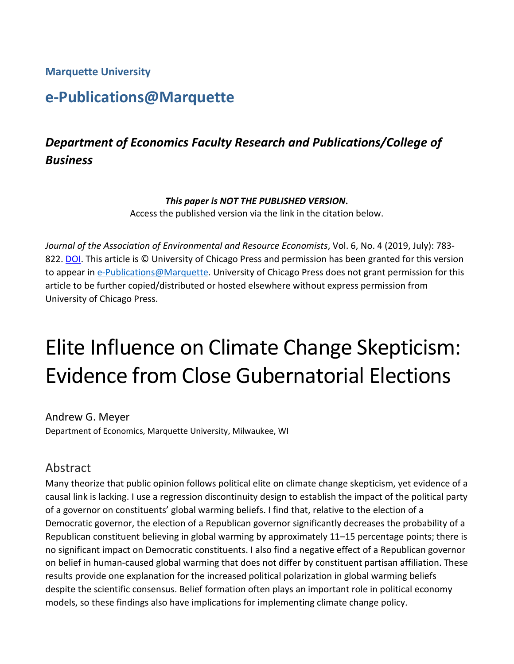**Marquette University**

# **e-Publications@Marquette**

# *Department of Economics Faculty Research and Publications/College of Business*

#### *This paper is NOT THE PUBLISHED VERSION***.**

Access the published version via the link in the citation below.

*Journal of the Association of Environmental and Resource Economists*, Vol. 6, No. 4 (2019, July): 783- 822. [DOI.](http://doi.org/10.1086/703744) This article is © University of Chicago Press and permission has been granted for this version to appear in [e-Publications@Marquette.](http://epublications.marquette.edu/) University of Chicago Press does not grant permission for this article to be further copied/distributed or hosted elsewhere without express permission from University of Chicago Press.

# Elite Influence on Climate Change Skepticism: Evidence from Close Gubernatorial Elections

Andrew G. Meyer Department of Economics, Marquette University, Milwaukee, WI

## Abstract

Many theorize that public opinion follows political elite on climate change skepticism, yet evidence of a causal link is lacking. I use a regression discontinuity design to establish the impact of the political party of a governor on constituents' global warming beliefs. I find that, relative to the election of a Democratic governor, the election of a Republican governor significantly decreases the probability of a Republican constituent believing in global warming by approximately 11–15 percentage points; there is no significant impact on Democratic constituents. I also find a negative effect of a Republican governor on belief in human-caused global warming that does not differ by constituent partisan affiliation. These results provide one explanation for the increased political polarization in global warming beliefs despite the scientific consensus. Belief formation often plays an important role in political economy models, so these findings also have implications for implementing climate change policy.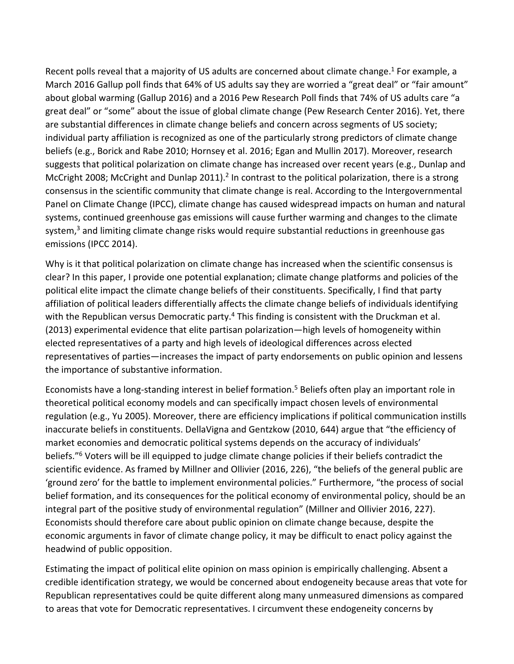Recent polls reveal that a majority of US adults are concerned about climate change. $1$  For example, a March 2016 Gallup poll finds that 64% of US adults say they are worried a "great deal" or "fair amount" about global warming (Gallup 2016) and a 2016 Pew Research Poll finds that 74% of US adults care "a great deal" or "some" about the issue of global climate change (Pew Research Center 2016). Yet, there are substantial differences in climate change beliefs and concern across segments of US society; individual party affiliation is recognized as one of the particularly strong predictors of climate change beliefs (e.g., Borick and Rabe 2010; Hornsey et al. 2016; Egan and Mullin 2017). Moreover, research suggests that political polarization on climate change has increased over recent years (e.g., Dunlap and McCright 2008; McCright and Dunlap 2011).<sup>2</sup> In contrast to the political polarization, there is a strong consensus in the scientific community that climate change is real. According to the Intergovernmental Panel on Climate Change (IPCC), climate change has caused widespread impacts on human and natural systems, continued greenhouse gas emissions will cause further warming and changes to the climate system, $3$  and limiting climate change risks would require substantial reductions in greenhouse gas emissions (IPCC 2014).

Why is it that political polarization on climate change has increased when the scientific consensus is clear? In this paper, I provide one potential explanation; climate change platforms and policies of the political elite impact the climate change beliefs of their constituents. Specifically, I find that party affiliation of political leaders differentially affects the climate change beliefs of individuals identifying with the Republican versus Democratic party.<sup>4</sup> This finding is consistent with the Druckman et al. (2013) experimental evidence that elite partisan polarization—high levels of homogeneity within elected representatives of a party and high levels of ideological differences across elected representatives of parties—increases the impact of party endorsements on public opinion and lessens the importance of substantive information.

Economists have a long-standing interest in belief formation.<sup>5</sup> Beliefs often play an important role in theoretical political economy models and can specifically impact chosen levels of environmental regulation (e.g., Yu 2005). Moreover, there are efficiency implications if political communication instills inaccurate beliefs in constituents. DellaVigna and Gentzkow (2010, 644) argue that "the efficiency of market economies and democratic political systems depends on the accuracy of individuals' beliefs."<sup>6</sup> Voters will be ill equipped to judge climate change policies if their beliefs contradict the scientific evidence. As framed by Millner and Ollivier (2016, 226), "the beliefs of the general public are 'ground zero' for the battle to implement environmental policies." Furthermore, "the process of social belief formation, and its consequences for the political economy of environmental policy, should be an integral part of the positive study of environmental regulation" (Millner and Ollivier 2016, 227). Economists should therefore care about public opinion on climate change because, despite the economic arguments in favor of climate change policy, it may be difficult to enact policy against the headwind of public opposition.

Estimating the impact of political elite opinion on mass opinion is empirically challenging. Absent a credible identification strategy, we would be concerned about endogeneity because areas that vote for Republican representatives could be quite different along many unmeasured dimensions as compared to areas that vote for Democratic representatives. I circumvent these endogeneity concerns by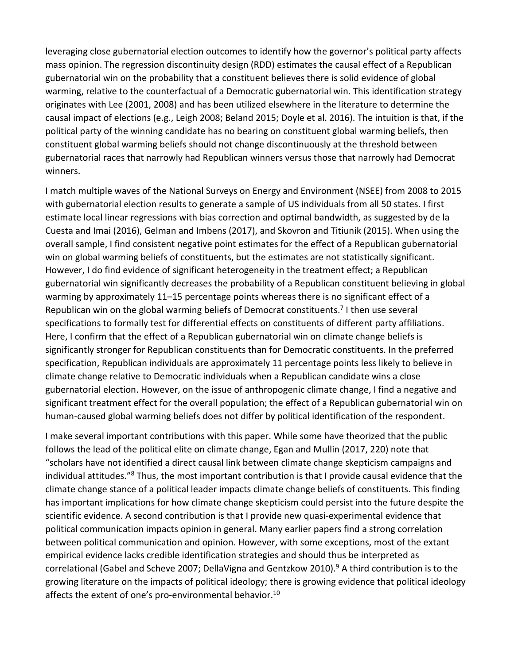leveraging close gubernatorial election outcomes to identify how the governor's political party affects mass opinion. The regression discontinuity design (RDD) estimates the causal effect of a Republican gubernatorial win on the probability that a constituent believes there is solid evidence of global warming, relative to the counterfactual of a Democratic gubernatorial win. This identification strategy originates with Lee (2001, 2008) and has been utilized elsewhere in the literature to determine the causal impact of elections (e.g., Leigh 2008; Beland 2015; Doyle et al. 2016). The intuition is that, if the political party of the winning candidate has no bearing on constituent global warming beliefs, then constituent global warming beliefs should not change discontinuously at the threshold between gubernatorial races that narrowly had Republican winners versus those that narrowly had Democrat winners.

I match multiple waves of the National Surveys on Energy and Environment (NSEE) from 2008 to 2015 with gubernatorial election results to generate a sample of US individuals from all 50 states. I first estimate local linear regressions with bias correction and optimal bandwidth, as suggested by de la Cuesta and Imai (2016), Gelman and Imbens (2017), and Skovron and Titiunik (2015). When using the overall sample, I find consistent negative point estimates for the effect of a Republican gubernatorial win on global warming beliefs of constituents, but the estimates are not statistically significant. However, I do find evidence of significant heterogeneity in the treatment effect; a Republican gubernatorial win significantly decreases the probability of a Republican constituent believing in global warming by approximately 11–15 percentage points whereas there is no significant effect of a Republican win on the global warming beliefs of Democrat constituents.<sup>7</sup> I then use several specifications to formally test for differential effects on constituents of different party affiliations. Here, I confirm that the effect of a Republican gubernatorial win on climate change beliefs is significantly stronger for Republican constituents than for Democratic constituents. In the preferred specification, Republican individuals are approximately 11 percentage points less likely to believe in climate change relative to Democratic individuals when a Republican candidate wins a close gubernatorial election. However, on the issue of anthropogenic climate change, I find a negative and significant treatment effect for the overall population; the effect of a Republican gubernatorial win on human-caused global warming beliefs does not differ by political identification of the respondent.

I make several important contributions with this paper. While some have theorized that the public follows the lead of the political elite on climate change, Egan and Mullin (2017, 220) note that "scholars have not identified a direct causal link between climate change skepticism campaigns and individual attitudes."<sup>8</sup> Thus, the most important contribution is that I provide causal evidence that the climate change stance of a political leader impacts climate change beliefs of constituents. This finding has important implications for how climate change skepticism could persist into the future despite the scientific evidence. A second contribution is that I provide new quasi-experimental evidence that political communication impacts opinion in general. Many earlier papers find a strong correlation between political communication and opinion. However, with some exceptions, most of the extant empirical evidence lacks credible identification strategies and should thus be interpreted as correlational (Gabel and Scheve 2007; DellaVigna and Gentzkow 2010).<sup>9</sup> A third contribution is to the growing literature on the impacts of political ideology; there is growing evidence that political ideology affects the extent of one's pro-environmental behavior.10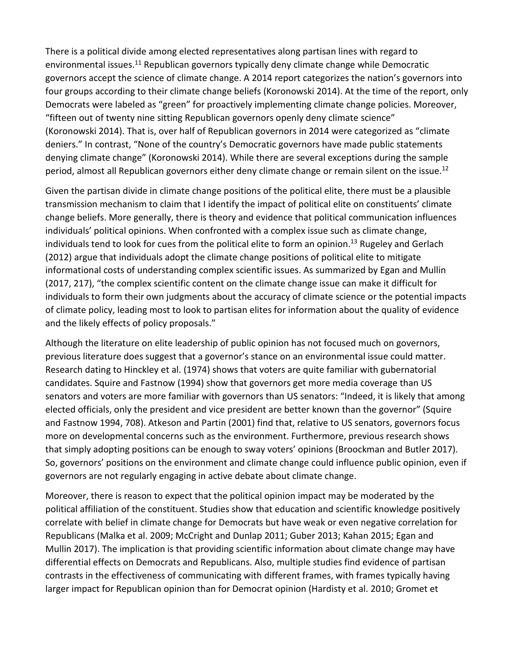There is a political divide among elected representatives along partisan lines with regard to environmental issues.<sup>11</sup> Republican governors typically deny climate change while Democratic governors accept the science of climate change. A 2014 report categorizes the nation's governors into four groups according to their climate change beliefs (Koronowski 2014). At the time of the report, only Democrats were labeled as "green" for proactively implementing climate change policies. Moreover, "fifteen out of twenty nine sitting Republican governors openly deny climate science" (Koronowski 2014). That is, over half of Republican governors in 2014 were categorized as "climate deniers." In contrast, "None of the country's Democratic governors have made public statements denying climate change" (Koronowski 2014). While there are several exceptions during the sample period, almost all Republican governors either deny climate change or remain silent on the issue.<sup>12</sup>

Given the partisan divide in climate change positions of the political elite, there must be a plausible transmission mechanism to claim that I identify the impact of political elite on constituents' climate change beliefs. More generally, there is theory and evidence that political communication influences individuals' political opinions. When confronted with a complex issue such as climate change, individuals tend to look for cues from the political elite to form an opinion.<sup>13</sup> Rugeley and Gerlach (2012) argue that individuals adopt the climate change positions of political elite to mitigate informational costs of understanding complex scientific issues. As summarized by Egan and Mullin (2017, 217), "the complex scientific content on the climate change issue can make it difficult for individuals to form their own judgments about the accuracy of climate science or the potential impacts of climate policy, leading most to look to partisan elites for information about the quality of evidence and the likely effects of policy proposals."

Although the literature on elite leadership of public opinion has not focused much on governors, previous literature does suggest that a governor's stance on an environmental issue could matter. Research dating to Hinckley et al. (1974) shows that voters are quite familiar with gubernatorial candidates. Squire and Fastnow (1994) show that governors get more media coverage than US senators and voters are more familiar with governors than US senators: "Indeed, it is likely that among elected officials, only the president and vice president are better known than the governor" (Squire and Fastnow 1994, 708). Atkeson and Partin (2001) find that, relative to US senators, governors focus more on developmental concerns such as the environment. Furthermore, previous research shows that simply adopting positions can be enough to sway voters' opinions (Broockman and Butler 2017). So, governors' positions on the environment and climate change could influence public opinion, even if governors are not regularly engaging in active debate about climate change.

Moreover, there is reason to expect that the political opinion impact may be moderated by the political affiliation of the constituent. Studies show that education and scientific knowledge positively correlate with belief in climate change for Democrats but have weak or even negative correlation for Republicans (Malka et al. 2009; McCright and Dunlap 2011; Guber 2013; Kahan 2015; Egan and Mullin 2017). The implication is that providing scientific information about climate change may have differential effects on Democrats and Republicans. Also, multiple studies find evidence of partisan contrasts in the effectiveness of communicating with different frames, with frames typically having larger impact for Republican opinion than for Democrat opinion (Hardisty et al. 2010; Gromet et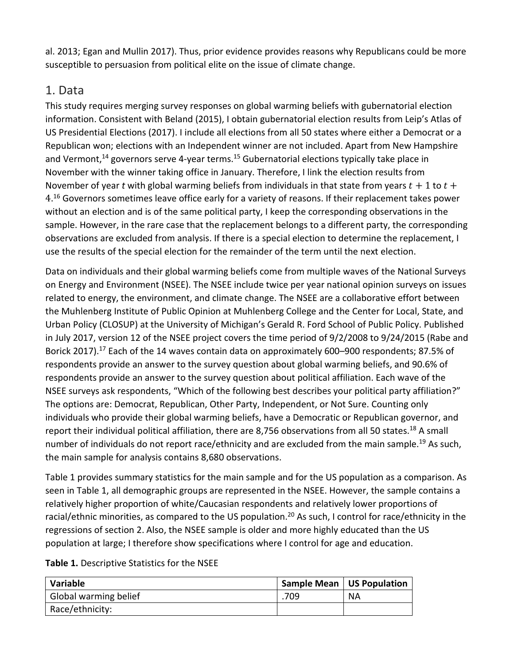al. 2013; Egan and Mullin 2017). Thus, prior evidence provides reasons why Republicans could be more susceptible to persuasion from political elite on the issue of climate change.

## 1. Data

This study requires merging survey responses on global warming beliefs with gubernatorial election information. Consistent with Beland (2015), I obtain gubernatorial election results from Leip's Atlas of US Presidential Elections (2017). I include all elections from all 50 states where either a Democrat or a Republican won; elections with an Independent winner are not included. Apart from New Hampshire and Vermont,<sup>14</sup> governors serve 4-year terms.<sup>15</sup> Gubernatorial elections typically take place in November with the winner taking office in January. Therefore, I link the election results from November of year t with global warming beliefs from individuals in that state from years  $t + 1$  to  $t +$ 4. <sup>16</sup> Governors sometimes leave office early for a variety of reasons. If their replacement takes power without an election and is of the same political party, I keep the corresponding observations in the sample. However, in the rare case that the replacement belongs to a different party, the corresponding observations are excluded from analysis. If there is a special election to determine the replacement, I use the results of the special election for the remainder of the term until the next election.

Data on individuals and their global warming beliefs come from multiple waves of the National Surveys on Energy and Environment (NSEE). The NSEE include twice per year national opinion surveys on issues related to energy, the environment, and climate change. The NSEE are a collaborative effort between the Muhlenberg Institute of Public Opinion at Muhlenberg College and the Center for Local, State, and Urban Policy (CLOSUP) at the University of Michigan's Gerald R. Ford School of Public Policy. Published in July 2017, version 12 of the NSEE project covers the time period of 9/2/2008 to 9/24/2015 (Rabe and Borick 2017).<sup>17</sup> Each of the 14 waves contain data on approximately 600–900 respondents; 87.5% of respondents provide an answer to the survey question about global warming beliefs, and 90.6% of respondents provide an answer to the survey question about political affiliation. Each wave of the NSEE surveys ask respondents, "Which of the following best describes your political party affiliation?" The options are: Democrat, Republican, Other Party, Independent, or Not Sure. Counting only individuals who provide their global warming beliefs, have a Democratic or Republican governor, and report their individual political affiliation, there are 8,756 observations from all 50 states.<sup>18</sup> A small number of individuals do not report race/ethnicity and are excluded from the main sample.<sup>19</sup> As such, the main sample for analysis contains 8,680 observations.

Table 1 provides summary statistics for the main sample and for the US population as a comparison. As seen in Table 1, all demographic groups are represented in the NSEE. However, the sample contains a relatively higher proportion of white/Caucasian respondents and relatively lower proportions of racial/ethnic minorities, as compared to the US population.<sup>20</sup> As such, I control for race/ethnicity in the regressions of section 2. Also, the NSEE sample is older and more highly educated than the US population at large; I therefore show specifications where I control for age and education.

| Variable              |      | Sample Mean   US Population |
|-----------------------|------|-----------------------------|
| Global warming belief | .709 | NA.                         |
| Race/ethnicity:       |      |                             |

#### **Table 1.** Descriptive Statistics for the NSEE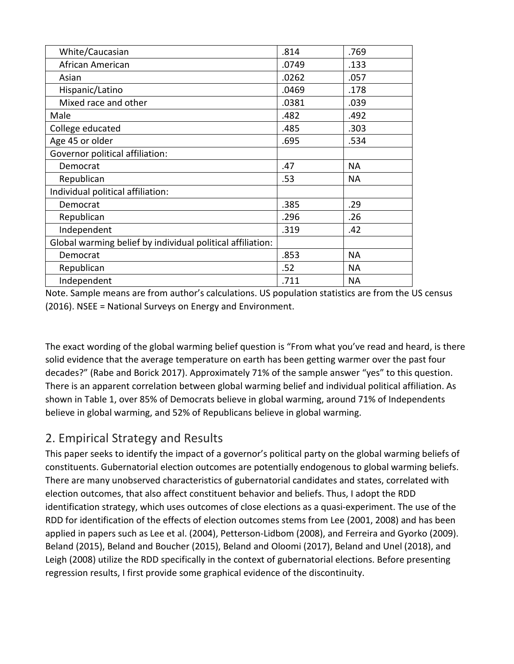| White/Caucasian                                            | .814  | .769      |
|------------------------------------------------------------|-------|-----------|
| African American                                           | .0749 | .133      |
| Asian                                                      | .0262 | .057      |
| Hispanic/Latino                                            | .0469 | .178      |
| Mixed race and other                                       | .0381 | .039      |
| Male                                                       | .482  | .492      |
| College educated                                           | .485  | .303      |
| Age 45 or older                                            | .695  | .534      |
| Governor political affiliation:                            |       |           |
| Democrat                                                   | .47   | <b>NA</b> |
| Republican                                                 | .53   | <b>NA</b> |
| Individual political affiliation:                          |       |           |
| Democrat                                                   | .385  | .29       |
| Republican                                                 | .296  | .26       |
| Independent                                                | .319  | .42       |
| Global warming belief by individual political affiliation: |       |           |
| Democrat                                                   | .853  | <b>NA</b> |
| Republican                                                 | .52   | NА        |
| Independent                                                | .711  | <b>NA</b> |

Note. Sample means are from author's calculations. US population statistics are from the US census (2016). NSEE = National Surveys on Energy and Environment.

The exact wording of the global warming belief question is "From what you've read and heard, is there solid evidence that the average temperature on earth has been getting warmer over the past four decades?" (Rabe and Borick 2017). Approximately 71% of the sample answer "yes" to this question. There is an apparent correlation between global warming belief and individual political affiliation. As shown in Table 1, over 85% of Democrats believe in global warming, around 71% of Independents believe in global warming, and 52% of Republicans believe in global warming.

# 2. Empirical Strategy and Results

This paper seeks to identify the impact of a governor's political party on the global warming beliefs of constituents. Gubernatorial election outcomes are potentially endogenous to global warming beliefs. There are many unobserved characteristics of gubernatorial candidates and states, correlated with election outcomes, that also affect constituent behavior and beliefs. Thus, I adopt the RDD identification strategy, which uses outcomes of close elections as a quasi-experiment. The use of the RDD for identification of the effects of election outcomes stems from Lee (2001, 2008) and has been applied in papers such as Lee et al. (2004), Petterson-Lidbom (2008), and Ferreira and Gyorko (2009). Beland (2015), Beland and Boucher (2015), Beland and Oloomi (2017), Beland and Unel (2018), and Leigh (2008) utilize the RDD specifically in the context of gubernatorial elections. Before presenting regression results, I first provide some graphical evidence of the discontinuity.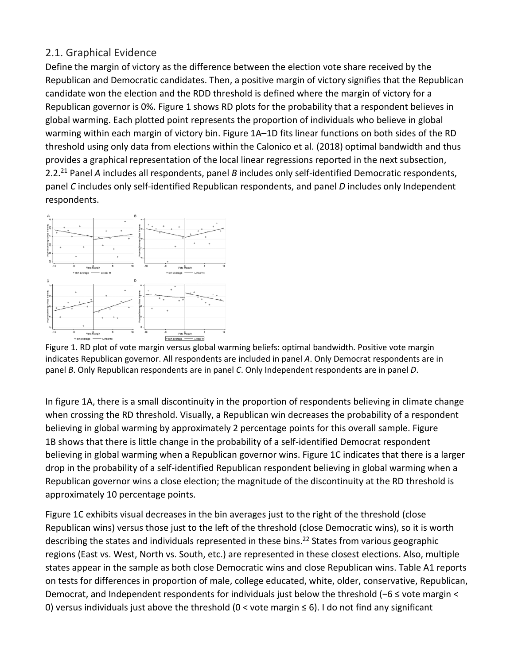#### 2.1. Graphical Evidence

Define the margin of victory as the difference between the election vote share received by the Republican and Democratic candidates. Then, a positive margin of victory signifies that the Republican candidate won the election and the RDD threshold is defined where the margin of victory for a Republican governor is 0%. Figure 1 shows RD plots for the probability that a respondent believes in global warming. Each plotted point represents the proportion of individuals who believe in global warming within each margin of victory bin. Figure 1A–1D fits linear functions on both sides of the RD threshold using only data from elections within the Calonico et al. (2018) optimal bandwidth and thus provides a graphical representation of the local linear regressions reported in the next subsection, 2.2. <sup>21</sup> Panel *A* includes all respondents, panel *B* includes only self-identified Democratic respondents, panel *C* includes only self-identified Republican respondents, and panel *D* includes only Independent respondents.





In figure 1A, there is a small discontinuity in the proportion of respondents believing in climate change when crossing the RD threshold. Visually, a Republican win decreases the probability of a respondent believing in global warming by approximately 2 percentage points for this overall sample. Figure 1B shows that there is little change in the probability of a self-identified Democrat respondent believing in global warming when a Republican governor wins. Figure 1C indicates that there is a larger drop in the probability of a self-identified Republican respondent believing in global warming when a Republican governor wins a close election; the magnitude of the discontinuity at the RD threshold is approximately 10 percentage points.

Figure 1C exhibits visual decreases in the bin averages just to the right of the threshold (close Republican wins) versus those just to the left of the threshold (close Democratic wins), so it is worth describing the states and individuals represented in these bins.<sup>22</sup> States from various geographic regions (East vs. West, North vs. South, etc.) are represented in these closest elections. Also, multiple states appear in the sample as both close Democratic wins and close Republican wins. Table A1 reports on tests for differences in proportion of male, college educated, white, older, conservative, Republican, Democrat, and Independent respondents for individuals just below the threshold (−6 ≤ vote margin < 0) versus individuals just above the threshold (0 < vote margin  $\leq$  6). I do not find any significant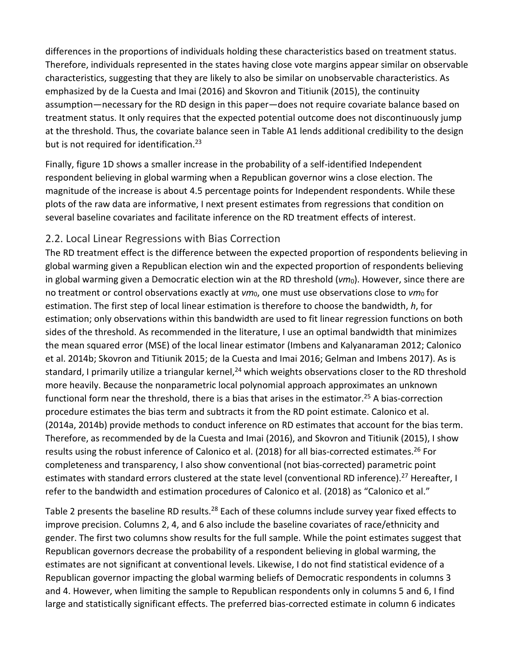differences in the proportions of individuals holding these characteristics based on treatment status. Therefore, individuals represented in the states having close vote margins appear similar on observable characteristics, suggesting that they are likely to also be similar on unobservable characteristics. As emphasized by de la Cuesta and Imai (2016) and Skovron and Titiunik (2015), the continuity assumption—necessary for the RD design in this paper—does not require covariate balance based on treatment status. It only requires that the expected potential outcome does not discontinuously jump at the threshold. Thus, the covariate balance seen in Table A1 lends additional credibility to the design but is not required for identification.<sup>23</sup>

Finally, figure 1D shows a smaller increase in the probability of a self-identified Independent respondent believing in global warming when a Republican governor wins a close election. The magnitude of the increase is about 4.5 percentage points for Independent respondents. While these plots of the raw data are informative, I next present estimates from regressions that condition on several baseline covariates and facilitate inference on the RD treatment effects of interest.

#### 2.2. Local Linear Regressions with Bias Correction

The RD treatment effect is the difference between the expected proportion of respondents believing in global warming given a Republican election win and the expected proportion of respondents believing in global warming given a Democratic election win at the RD threshold (*vm*<sub>0</sub>). However, since there are no treatment or control observations exactly at *vm*<sub>0</sub>, one must use observations close to *vm*<sub>0</sub> for estimation. The first step of local linear estimation is therefore to choose the bandwidth, *h*, for estimation; only observations within this bandwidth are used to fit linear regression functions on both sides of the threshold. As recommended in the literature, I use an optimal bandwidth that minimizes the mean squared error (MSE) of the local linear estimator (Imbens and Kalyanaraman 2012; Calonico et al. 2014b; Skovron and Titiunik 2015; de la Cuesta and Imai 2016; Gelman and Imbens 2017). As is standard, I primarily utilize a triangular kernel,<sup>24</sup> which weights observations closer to the RD threshold more heavily. Because the nonparametric local polynomial approach approximates an unknown functional form near the threshold, there is a bias that arises in the estimator.<sup>25</sup> A bias-correction procedure estimates the bias term and subtracts it from the RD point estimate. Calonico et al. (2014a, 2014b) provide methods to conduct inference on RD estimates that account for the bias term. Therefore, as recommended by de la Cuesta and Imai (2016), and Skovron and Titiunik (2015), I show results using the robust inference of Calonico et al. (2018) for all bias-corrected estimates.<sup>26</sup> For completeness and transparency, I also show conventional (not bias-corrected) parametric point estimates with standard errors clustered at the state level (conventional RD inference).<sup>27</sup> Hereafter, I refer to the bandwidth and estimation procedures of Calonico et al. (2018) as "Calonico et al."

Table 2 presents the baseline RD results.<sup>28</sup> Each of these columns include survey year fixed effects to improve precision. Columns 2, 4, and 6 also include the baseline covariates of race/ethnicity and gender. The first two columns show results for the full sample. While the point estimates suggest that Republican governors decrease the probability of a respondent believing in global warming, the estimates are not significant at conventional levels. Likewise, I do not find statistical evidence of a Republican governor impacting the global warming beliefs of Democratic respondents in columns 3 and 4. However, when limiting the sample to Republican respondents only in columns 5 and 6, I find large and statistically significant effects. The preferred bias-corrected estimate in column 6 indicates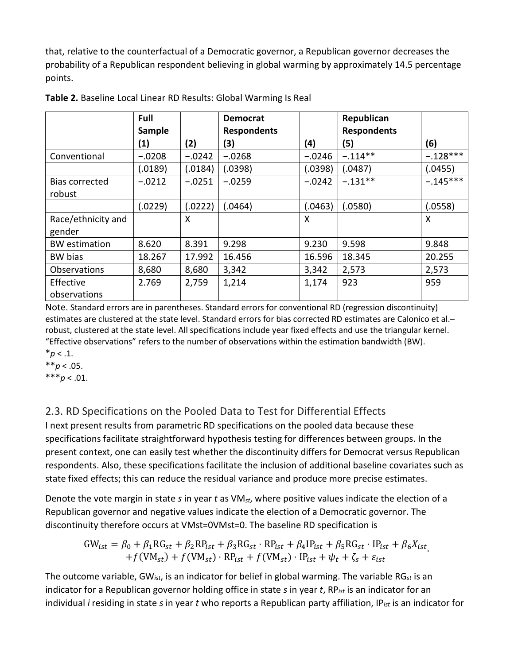that, relative to the counterfactual of a Democratic governor, a Republican governor decreases the probability of a Republican respondent believing in global warming by approximately 14.5 percentage points.

|                      | Full<br><b>Sample</b> |          | <b>Democrat</b><br><b>Respondents</b> |          | Republican<br><b>Respondents</b> |            |
|----------------------|-----------------------|----------|---------------------------------------|----------|----------------------------------|------------|
|                      | (1)                   | (2)      | (3)                                   | (4)      | (5)                              | (6)        |
| Conventional         | $-.0208$              | $-.0242$ | $-.0268$                              | $-.0246$ | $-.114**$                        | $-.128***$ |
|                      | (.0189)               | (.0184)  | (.0398)                               | (.0398)  | (.0487)                          | (.0455)    |
| Bias corrected       | $-.0212$              | $-.0251$ | $-.0259$                              | $-.0242$ | $-.131**$                        | $-.145***$ |
| robust               |                       |          |                                       |          |                                  |            |
|                      | (.0229)               | (.0222)  | (.0464)                               | (.0463)  | (.0580)                          | (.0558)    |
| Race/ethnicity and   |                       | X        |                                       | X        |                                  | X          |
| gender               |                       |          |                                       |          |                                  |            |
| <b>BW</b> estimation | 8.620                 | 8.391    | 9.298                                 | 9.230    | 9.598                            | 9.848      |
| <b>BW</b> bias       | 18.267                | 17.992   | 16.456                                | 16.596   | 18.345                           | 20.255     |
| <b>Observations</b>  | 8,680                 | 8,680    | 3,342                                 | 3,342    | 2,573                            | 2,573      |
| Effective            | 2.769                 | 2,759    | 1,214                                 | 1,174    | 923                              | 959        |
| observations         |                       |          |                                       |          |                                  |            |

**Table 2.** Baseline Local Linear RD Results: Global Warming Is Real

Note. Standard errors are in parentheses. Standard errors for conventional RD (regression discontinuity) estimates are clustered at the state level. Standard errors for bias corrected RD estimates are Calonico et al.– robust, clustered at the state level. All specifications include year fixed effects and use the triangular kernel. "Effective observations" refers to the number of observations within the estimation bandwidth (BW).

 $*_{p}$  < .1.

\*\**p* < .05.

 $***p$  < .01.

2.3. RD Specifications on the Pooled Data to Test for Differential Effects

I next present results from parametric RD specifications on the pooled data because these specifications facilitate straightforward hypothesis testing for differences between groups. In the present context, one can easily test whether the discontinuity differs for Democrat versus Republican respondents. Also, these specifications facilitate the inclusion of additional baseline covariates such as state fixed effects; this can reduce the residual variance and produce more precise estimates.

Denote the vote margin in state *s* in year *t* as VM*st*, where positive values indicate the election of a Republican governor and negative values indicate the election of a Democratic governor. The discontinuity therefore occurs at VMst=0VMst=0. The baseline RD specification is

$$
GW_{ist} = \beta_0 + \beta_1 RG_{st} + \beta_2 RP_{ist} + \beta_3 RG_{st} \cdot RP_{ist} + \beta_4 IP_{ist} + \beta_5 RG_{st} \cdot IP_{ist} + \beta_6 X_{ist} + f(VM_{st}) + f(VM_{st}) \cdot RP_{ist} + f(VM_{st}) \cdot IP_{ist} + \psi_t + \zeta_s + \varepsilon_{ist}
$$

The outcome variable, GW*ist*, is an indicator for belief in global warming. The variable RG*st* is an indicator for a Republican governor holding office in state *s* in year *t*, RP*ist* is an indicator for an individual *i* residing in state *s* in year *t* who reports a Republican party affiliation, IP*ist* is an indicator for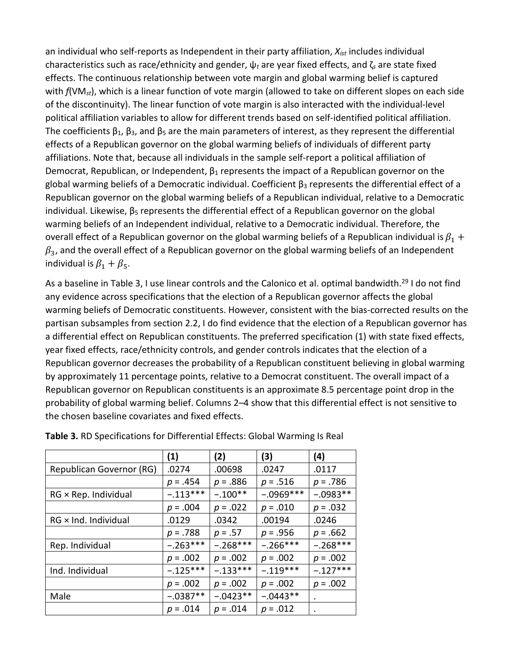an individual who self-reports as Independent in their party affiliation, *Xist* includes individual characteristics such as race/ethnicity and gender, ψ*<sup>t</sup>* are year fixed effects, and ζ*<sup>s</sup>* are state fixed effects. The continuous relationship between vote margin and global warming belief is captured with *f*(VM*st*), which is a linear function of vote margin (allowed to take on different slopes on each side of the discontinuity). The linear function of vote margin is also interacted with the individual-level political affiliation variables to allow for different trends based on self-identified political affiliation. The coefficients  $\beta_1$ ,  $\beta_3$ , and  $\beta_5$  are the main parameters of interest, as they represent the differential effects of a Republican governor on the global warming beliefs of individuals of different party affiliations. Note that, because all individuals in the sample self-report a political affiliation of Democrat, Republican, or Independent,  $\beta_1$  represents the impact of a Republican governor on the global warming beliefs of a Democratic individual. Coefficient β3 represents the differential effect of a Republican governor on the global warming beliefs of a Republican individual, relative to a Democratic individual. Likewise,  $\beta_5$  represents the differential effect of a Republican governor on the global warming beliefs of an Independent individual, relative to a Democratic individual. Therefore, the overall effect of a Republican governor on the global warming beliefs of a Republican individual is  $\beta_1 +$  $\beta_3$ , and the overall effect of a Republican governor on the global warming beliefs of an Independent individual is  $\beta_1 + \beta_5$ .

As a baseline in Table 3, I use linear controls and the Calonico et al. optimal bandwidth.<sup>29</sup> I do not find any evidence across specifications that the election of a Republican governor affects the global warming beliefs of Democratic constituents. However, consistent with the bias-corrected results on the partisan subsamples from section 2.2, I do find evidence that the election of a Republican governor has a differential effect on Republican constituents. The preferred specification (1) with state fixed effects, year fixed effects, race/ethnicity controls, and gender controls indicates that the election of a Republican governor decreases the probability of a Republican constituent believing in global warming by approximately 11 percentage points, relative to a Democrat constituent. The overall impact of a Republican governor on Republican constituents is an approximate 8.5 percentage point drop in the probability of global warming belief. Columns 2–4 show that this differential effect is not sensitive to the chosen baseline covariates and fixed effects.

|                             | (1)        | (2)        | (3)         | (4)        |
|-----------------------------|------------|------------|-------------|------------|
| Republican Governor (RG)    | .0274      | .00698     | .0247       | .0117      |
|                             | $p = .454$ | $p = .886$ | $p = .516$  | $p = .786$ |
| $RG \times Rep.$ Individual | $-.113***$ | $-.100**$  | $-.0969***$ | $-.0983**$ |
|                             | $p = .004$ | $p = .022$ | $p = .010$  | $p = .032$ |
| $RG \times Ind.$ Individual | .0129      | .0342      | .00194      | .0246      |
|                             | $p = .788$ | $p = .57$  | $p = .956$  | $p = .662$ |
| Rep. Individual             | $-.263***$ | $-.268***$ | $-.266***$  | $-.268***$ |
|                             | $p = .002$ | $p = .002$ | $p = .002$  | $p = .002$ |
| Ind. Individual             | $-.125***$ | $-.133***$ | $-.119***$  | $-.127***$ |
|                             | $p = .002$ | $p = .002$ | $p = .002$  | $p = .002$ |
| Male                        | $-.0387**$ | $-.0423**$ | $-.0443**$  | ٠          |
|                             | $p = .014$ | $p = .014$ | $p = .012$  |            |

**Table 3.** RD Specifications for Differential Effects: Global Warming Is Real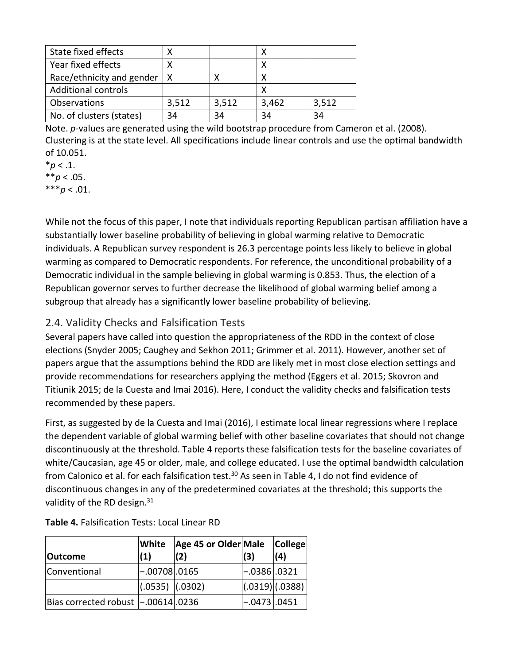| State fixed effects        |       |       |       |       |
|----------------------------|-------|-------|-------|-------|
| Year fixed effects         |       |       |       |       |
| Race/ethnicity and gender  | X     |       |       |       |
| <b>Additional controls</b> |       |       |       |       |
| <b>Observations</b>        | 3,512 | 3,512 | 3,462 | 3,512 |
| No. of clusters (states)   | 34    | 34    | 34    | 34    |

Note. *p*-values are generated using the wild bootstrap procedure from Cameron et al. (2008). Clustering is at the state level. All specifications include linear controls and use the optimal bandwidth of 10.051.

\**p* < .1.

 $*^*p < .05$ .

\*\*\**p* < .01.

While not the focus of this paper, I note that individuals reporting Republican partisan affiliation have a substantially lower baseline probability of believing in global warming relative to Democratic individuals. A Republican survey respondent is 26.3 percentage points less likely to believe in global warming as compared to Democratic respondents. For reference, the unconditional probability of a Democratic individual in the sample believing in global warming is 0.853. Thus, the election of a Republican governor serves to further decrease the likelihood of global warming belief among a subgroup that already has a significantly lower baseline probability of believing.

## 2.4. Validity Checks and Falsification Tests

Several papers have called into question the appropriateness of the RDD in the context of close elections (Snyder 2005; Caughey and Sekhon 2011; Grimmer et al. 2011). However, another set of papers argue that the assumptions behind the RDD are likely met in most close election settings and provide recommendations for researchers applying the method (Eggers et al. 2015; Skovron and Titiunik 2015; de la Cuesta and Imai 2016). Here, I conduct the validity checks and falsification tests recommended by these papers.

First, as suggested by de la Cuesta and Imai (2016), I estimate local linear regressions where I replace the dependent variable of global warming belief with other baseline covariates that should not change discontinuously at the threshold. Table 4 reports these falsification tests for the baseline covariates of white/Caucasian, age 45 or older, male, and college educated. I use the optimal bandwidth calculation from Calonico et al. for each falsification test.<sup>30</sup> As seen in Table 4, I do not find evidence of discontinuous changes in any of the predetermined covariates at the threshold; this supports the validity of the RD design. $31$ 

| <b>Outcome</b>                     | <b>White</b><br>(1)   | Age 45 or Older Male<br>(2) | (3)              | <b>College</b><br>(4) |
|------------------------------------|-----------------------|-----------------------------|------------------|-----------------------|
| Conventional                       | $-.00708$ .0165       |                             | $-0.0386$ .0321  |                       |
|                                    | $(0.0535)$ $(0.0302)$ |                             | (0.0319)(0.0388) |                       |
| Bias corrected robust -.00614.0236 |                       |                             | $-.0473$ $.0451$ |                       |

**Table 4.** Falsification Tests: Local Linear RD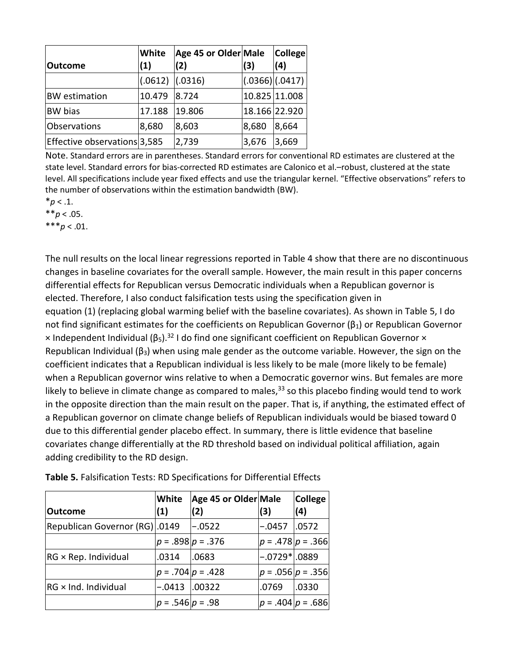| <b>Outcome</b>               | White<br>(1) | Age 45 or Older Male<br>(2) | (3)           | <b>College</b><br>(4) |
|------------------------------|--------------|-----------------------------|---------------|-----------------------|
|                              | (.0612)      | (0.0316)                    |               | (.0366) (.0417)       |
| <b>BW</b> estimation         | 10.479       | 8.724                       | 10.825 11.008 |                       |
| <b>BW</b> bias               | 17.188       | 19.806                      | 18.166 22.920 |                       |
| Observations                 | 8,680        | 8,603                       | 8,680         | 8,664                 |
| Effective observations 3,585 |              | 2,739                       | 3,676         | 3,669                 |

Note. Standard errors are in parentheses. Standard errors for conventional RD estimates are clustered at the state level. Standard errors for bias-corrected RD estimates are Calonico et al.–robust, clustered at the state level. All specifications include year fixed effects and use the triangular kernel. "Effective observations" refers to the number of observations within the estimation bandwidth (BW).

$$
^{\ast }\rho <.1.
$$

 $*$ *\*p* < .05.

 $***p$  < .01.

The null results on the local linear regressions reported in Table 4 show that there are no discontinuous changes in baseline covariates for the overall sample. However, the main result in this paper concerns differential effects for Republican versus Democratic individuals when a Republican governor is elected. Therefore, I also conduct falsification tests using the specification given in equation (1) (replacing global warming belief with the baseline covariates). As shown in Table 5, I do not find significant estimates for the coefficients on Republican Governor ( $\beta_1$ ) or Republican Governor  $\times$  Independent Individual ( $\beta_5$ ).<sup>32</sup> I do find one significant coefficient on Republican Governor  $\times$ Republican Individual ( $\beta_3$ ) when using male gender as the outcome variable. However, the sign on the coefficient indicates that a Republican individual is less likely to be male (more likely to be female) when a Republican governor wins relative to when a Democratic governor wins. But females are more likely to believe in climate change as compared to males,  $33$  so this placebo finding would tend to work in the opposite direction than the main result on the paper. That is, if anything, the estimated effect of a Republican governor on climate change beliefs of Republican individuals would be biased toward 0 due to this differential gender placebo effect. In summary, there is little evidence that baseline covariates change differentially at the RD threshold based on individual political affiliation, again adding credibility to the RD design.

| Outcome                       | White<br>(1)       | Age 45 or Older Male<br>(2) | (3)                   | <b>College</b><br>(4) |
|-------------------------------|--------------------|-----------------------------|-----------------------|-----------------------|
| Republican Governor (RG) 0149 |                    | -.0522                      | $-.0457$              | .0572                 |
|                               |                    | $p = .898$ $p = .376$       |                       | $p = .478$ $p = .366$ |
| RG × Rep. Individual          | .0314              | .0683                       | $-.0729*$ .0889       |                       |
|                               |                    | $p = .704$ $p = .428$       |                       | $p = .056$ $p = .356$ |
| RG × Ind. Individual          | $-.0413$           | .00322                      | .0769                 | .0330                 |
|                               | $p = .546 p = .98$ |                             | $p = .404$ $p = .686$ |                       |

| Table 5. Falsification Tests: RD Specifications for Differential Effects |
|--------------------------------------------------------------------------|
|                                                                          |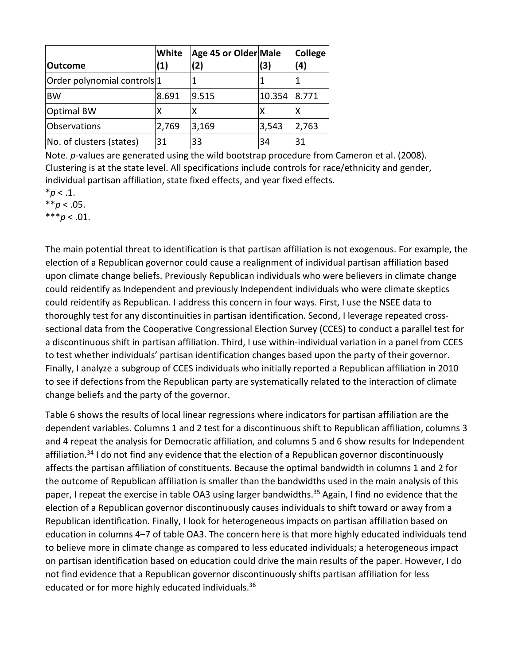| Outcome                     | White<br>(1) | Age 45 or Older Male<br>(2) | (3)    | <b>College</b><br>(4) |
|-----------------------------|--------------|-----------------------------|--------|-----------------------|
| Order polynomial controls 1 |              |                             |        |                       |
| <b>BW</b>                   | 8.691        | 9.515                       | 10.354 | 8.771                 |
| <b>Optimal BW</b>           |              |                             |        |                       |
| Observations                | 2,769        | 3,169                       | 3,543  | 2,763                 |
| No. of clusters (states)    | 31           | 33                          | 34     | 31                    |

Note. *p*-values are generated using the wild bootstrap procedure from Cameron et al. (2008). Clustering is at the state level. All specifications include controls for race/ethnicity and gender, individual partisan affiliation, state fixed effects, and year fixed effects.

 $*^*p < .05$ .

\*\*\**p* < .01.

The main potential threat to identification is that partisan affiliation is not exogenous. For example, the election of a Republican governor could cause a realignment of individual partisan affiliation based upon climate change beliefs. Previously Republican individuals who were believers in climate change could reidentify as Independent and previously Independent individuals who were climate skeptics could reidentify as Republican. I address this concern in four ways. First, I use the NSEE data to thoroughly test for any discontinuities in partisan identification. Second, I leverage repeated crosssectional data from the Cooperative Congressional Election Survey (CCES) to conduct a parallel test for a discontinuous shift in partisan affiliation. Third, I use within-individual variation in a panel from CCES to test whether individuals' partisan identification changes based upon the party of their governor. Finally, I analyze a subgroup of CCES individuals who initially reported a Republican affiliation in 2010 to see if defections from the Republican party are systematically related to the interaction of climate change beliefs and the party of the governor.

Table 6 shows the results of local linear regressions where indicators for partisan affiliation are the dependent variables. Columns 1 and 2 test for a discontinuous shift to Republican affiliation, columns 3 and 4 repeat the analysis for Democratic affiliation, and columns 5 and 6 show results for Independent affiliation.<sup>34</sup> I do not find any evidence that the election of a Republican governor discontinuously affects the partisan affiliation of constituents. Because the optimal bandwidth in columns 1 and 2 for the outcome of Republican affiliation is smaller than the bandwidths used in the main analysis of this paper, I repeat the exercise in table OA3 using larger bandwidths.<sup>35</sup> Again, I find no evidence that the election of a Republican governor discontinuously causes individuals to shift toward or away from a Republican identification. Finally, I look for heterogeneous impacts on partisan affiliation based on education in columns 4–7 of table OA3. The concern here is that more highly educated individuals tend to believe more in climate change as compared to less educated individuals; a heterogeneous impact on partisan identification based on education could drive the main results of the paper. However, I do not find evidence that a Republican governor discontinuously shifts partisan affiliation for less educated or for more highly educated individuals.36

<sup>\*</sup>*p* < .1.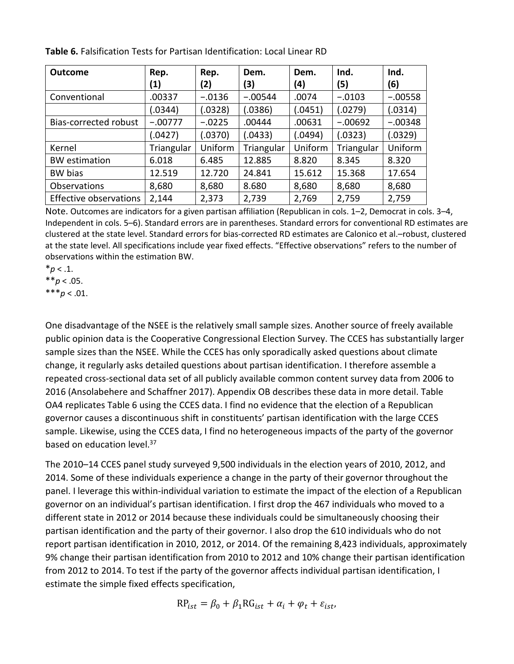| <b>Outcome</b>         | Rep.       | Rep.     | Dem.       | Dem.    | Ind.       | Ind.      |
|------------------------|------------|----------|------------|---------|------------|-----------|
|                        | (1)        | (2)      | (3)        | (4)     | (5         | (6)       |
| Conventional           | .00337     | $-.0136$ | $-.00544$  | .0074   | $-.0103$   | $-.00558$ |
|                        | (.0344)    | (.0328)  | (.0386)    | (.0451) | (.0279)    | (.0314)   |
| Bias-corrected robust  | $-.00777$  | $-.0225$ | .00444     | .00631  | $-.00692$  | $-.00348$ |
|                        | (.0427)    | (.0370)  | (.0433)    | (.0494) | (.0323)    | (.0329)   |
| Kernel                 | Triangular | Uniform  | Triangular | Uniform | Triangular | Uniform   |
| <b>BW</b> estimation   | 6.018      | 6.485    | 12.885     | 8.820   | 8.345      | 8.320     |
| BW bias                | 12.519     | 12.720   | 24.841     | 15.612  | 15.368     | 17.654    |
| Observations           | 8,680      | 8,680    | 8.680      | 8,680   | 8,680      | 8,680     |
| Effective observations | 2,144      | 2,373    | 2,739      | 2,769   | 2,759      | 2,759     |

**Table 6.** Falsification Tests for Partisan Identification: Local Linear RD

Note. Outcomes are indicators for a given partisan affiliation (Republican in cols. 1–2, Democrat in cols. 3–4, Independent in cols. 5–6). Standard errors are in parentheses. Standard errors for conventional RD estimates are clustered at the state level. Standard errors for bias-corrected RD estimates are Calonico et al.–robust, clustered at the state level. All specifications include year fixed effects. "Effective observations" refers to the number of observations within the estimation BW.

$$
*p<.1.
$$

\*\**p* < .05.

\*\*\**p* < .01.

One disadvantage of the NSEE is the relatively small sample sizes. Another source of freely available public opinion data is the Cooperative Congressional Election Survey. The CCES has substantially larger sample sizes than the NSEE. While the CCES has only sporadically asked questions about climate change, it regularly asks detailed questions about partisan identification. I therefore assemble a repeated cross-sectional data set of all publicly available common content survey data from 2006 to 2016 (Ansolabehere and Schaffner 2017). Appendix OB describes these data in more detail. Table OA4 replicates Table 6 using the CCES data. I find no evidence that the election of a Republican governor causes a discontinuous shift in constituents' partisan identification with the large CCES sample. Likewise, using the CCES data, I find no heterogeneous impacts of the party of the governor based on education level.<sup>37</sup>

The 2010–14 CCES panel study surveyed 9,500 individuals in the election years of 2010, 2012, and 2014. Some of these individuals experience a change in the party of their governor throughout the panel. I leverage this within-individual variation to estimate the impact of the election of a Republican governor on an individual's partisan identification. I first drop the 467 individuals who moved to a different state in 2012 or 2014 because these individuals could be simultaneously choosing their partisan identification and the party of their governor. I also drop the 610 individuals who do not report partisan identification in 2010, 2012, or 2014. Of the remaining 8,423 individuals, approximately 9% change their partisan identification from 2010 to 2012 and 10% change their partisan identification from 2012 to 2014. To test if the party of the governor affects individual partisan identification, I estimate the simple fixed effects specification,

$$
RP_{ist} = \beta_0 + \beta_1 RG_{ist} + \alpha_i + \varphi_t + \varepsilon_{ist},
$$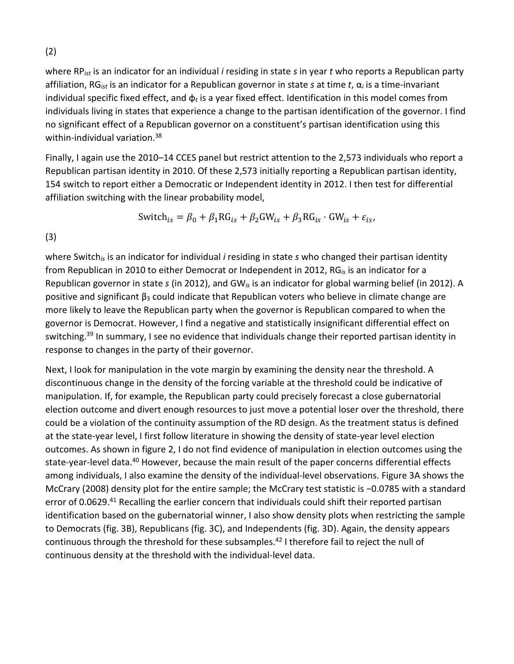where RP*ist* is an indicator for an individual *i* residing in state *s* in year *t* who reports a Republican party affiliation, RG*ist* is an indicator for a Republican governor in state *s* at time *t*, α*<sup>i</sup>* is a time-invariant individual specific fixed effect, and φ*<sup>t</sup>* is a year fixed effect. Identification in this model comes from individuals living in states that experience a change to the partisan identification of the governor. I find no significant effect of a Republican governor on a constituent's partisan identification using this within-individual variation.<sup>38</sup>

Finally, I again use the 2010–14 CCES panel but restrict attention to the 2,573 individuals who report a Republican partisan identity in 2010. Of these 2,573 initially reporting a Republican partisan identity, 154 switch to report either a Democratic or Independent identity in 2012. I then test for differential affiliation switching with the linear probability model,

$$
Switch_{is} = \beta_0 + \beta_1 RG_{is} + \beta_2 GW_{is} + \beta_3 RG_{is} \cdot GW_{is} + \varepsilon_{is},
$$

(3)

where Switch*is* is an indicator for individual *i* residing in state *s* who changed their partisan identity from Republican in 2010 to either Democrat or Independent in 2012, RG*is* is an indicator for a Republican governor in state *s* (in 2012), and GW*is* is an indicator for global warming belief (in 2012). A positive and significant  $\beta_3$  could indicate that Republican voters who believe in climate change are more likely to leave the Republican party when the governor is Republican compared to when the governor is Democrat. However, I find a negative and statistically insignificant differential effect on switching.<sup>39</sup> In summary, I see no evidence that individuals change their reported partisan identity in response to changes in the party of their governor.

Next, I look for manipulation in the vote margin by examining the density near the threshold. A discontinuous change in the density of the forcing variable at the threshold could be indicative of manipulation. If, for example, the Republican party could precisely forecast a close gubernatorial election outcome and divert enough resources to just move a potential loser over the threshold, there could be a violation of the continuity assumption of the RD design. As the treatment status is defined at the state-year level, I first follow literature in showing the density of state-year level election outcomes. As shown in figure 2, I do not find evidence of manipulation in election outcomes using the state-year-level data.<sup>40</sup> However, because the main result of the paper concerns differential effects among individuals, I also examine the density of the individual-level observations. Figure 3A shows the McCrary (2008) density plot for the entire sample; the McCrary test statistic is −0.0785 with a standard error of 0.0629.<sup>41</sup> Recalling the earlier concern that individuals could shift their reported partisan identification based on the gubernatorial winner, I also show density plots when restricting the sample to Democrats (fig. 3B), Republicans (fig. 3C), and Independents (fig. 3D). Again, the density appears continuous through the threshold for these subsamples.<sup>42</sup> I therefore fail to reject the null of continuous density at the threshold with the individual-level data.

(2)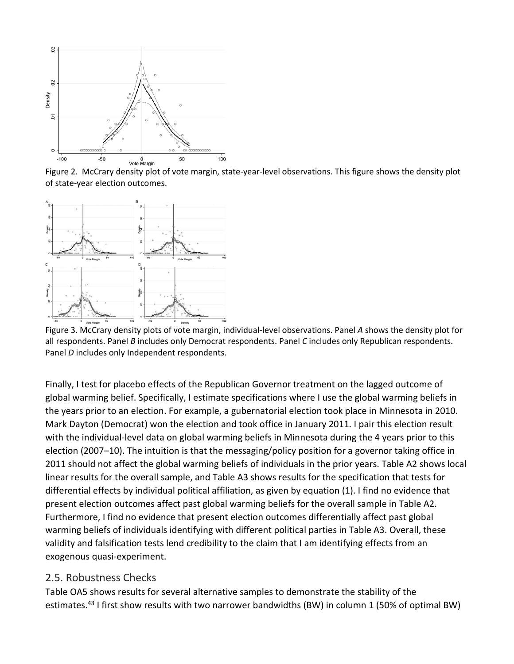

Figure 2. McCrary density plot of vote margin, state-year-level observations. This figure shows the density plot of state-year election outcomes.



Figure 3. McCrary density plots of vote margin, individual-level observations. Panel *A* shows the density plot for all respondents. Panel *B* includes only Democrat respondents. Panel *C* includes only Republican respondents. Panel *D* includes only Independent respondents.

Finally, I test for placebo effects of the Republican Governor treatment on the lagged outcome of global warming belief. Specifically, I estimate specifications where I use the global warming beliefs in the years prior to an election. For example, a gubernatorial election took place in Minnesota in 2010. Mark Dayton (Democrat) won the election and took office in January 2011. I pair this election result with the individual-level data on global warming beliefs in Minnesota during the 4 years prior to this election (2007–10). The intuition is that the messaging/policy position for a governor taking office in 2011 should not affect the global warming beliefs of individuals in the prior years. Table A2 shows local linear results for the overall sample, and Table A3 shows results for the specification that tests for differential effects by individual political affiliation, as given by equation (1). I find no evidence that present election outcomes affect past global warming beliefs for the overall sample in Table A2. Furthermore, I find no evidence that present election outcomes differentially affect past global warming beliefs of individuals identifying with different political parties in Table A3. Overall, these validity and falsification tests lend credibility to the claim that I am identifying effects from an exogenous quasi-experiment.

#### 2.5. Robustness Checks

Table OA5 shows results for several alternative samples to demonstrate the stability of the estimates.<sup>43</sup> I first show results with two narrower bandwidths (BW) in column 1 (50% of optimal BW)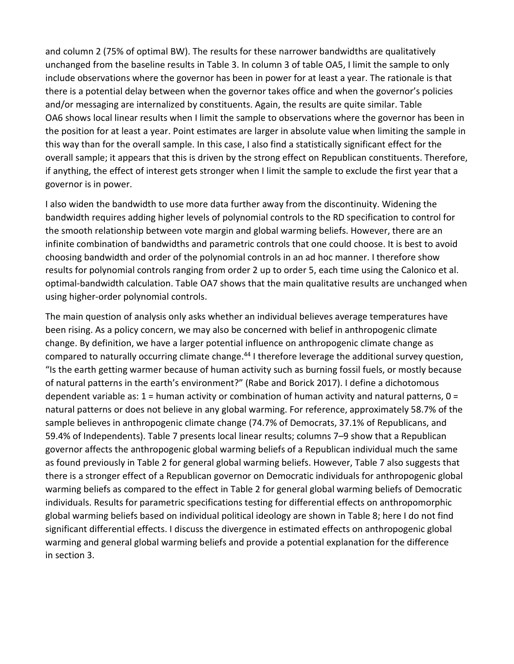and column 2 (75% of optimal BW). The results for these narrower bandwidths are qualitatively unchanged from the baseline results in Table 3. In column 3 of table OA5, I limit the sample to only include observations where the governor has been in power for at least a year. The rationale is that there is a potential delay between when the governor takes office and when the governor's policies and/or messaging are internalized by constituents. Again, the results are quite similar. Table OA6 shows local linear results when I limit the sample to observations where the governor has been in the position for at least a year. Point estimates are larger in absolute value when limiting the sample in this way than for the overall sample. In this case, I also find a statistically significant effect for the overall sample; it appears that this is driven by the strong effect on Republican constituents. Therefore, if anything, the effect of interest gets stronger when I limit the sample to exclude the first year that a governor is in power.

I also widen the bandwidth to use more data further away from the discontinuity. Widening the bandwidth requires adding higher levels of polynomial controls to the RD specification to control for the smooth relationship between vote margin and global warming beliefs. However, there are an infinite combination of bandwidths and parametric controls that one could choose. It is best to avoid choosing bandwidth and order of the polynomial controls in an ad hoc manner. I therefore show results for polynomial controls ranging from order 2 up to order 5, each time using the Calonico et al. optimal-bandwidth calculation. Table OA7 shows that the main qualitative results are unchanged when using higher-order polynomial controls.

The main question of analysis only asks whether an individual believes average temperatures have been rising. As a policy concern, we may also be concerned with belief in anthropogenic climate change. By definition, we have a larger potential influence on anthropogenic climate change as compared to naturally occurring climate change.<sup>44</sup> I therefore leverage the additional survey question, "Is the earth getting warmer because of human activity such as burning fossil fuels, or mostly because of natural patterns in the earth's environment?" (Rabe and Borick 2017). I define a dichotomous dependent variable as: 1 = human activity or combination of human activity and natural patterns, 0 = natural patterns or does not believe in any global warming. For reference, approximately 58.7% of the sample believes in anthropogenic climate change (74.7% of Democrats, 37.1% of Republicans, and 59.4% of Independents). Table 7 presents local linear results; columns 7–9 show that a Republican governor affects the anthropogenic global warming beliefs of a Republican individual much the same as found previously in Table 2 for general global warming beliefs. However, Table 7 also suggests that there is a stronger effect of a Republican governor on Democratic individuals for anthropogenic global warming beliefs as compared to the effect in Table 2 for general global warming beliefs of Democratic individuals. Results for parametric specifications testing for differential effects on anthropomorphic global warming beliefs based on individual political ideology are shown in Table 8; here I do not find significant differential effects. I discuss the divergence in estimated effects on anthropogenic global warming and general global warming beliefs and provide a potential explanation for the difference in section 3.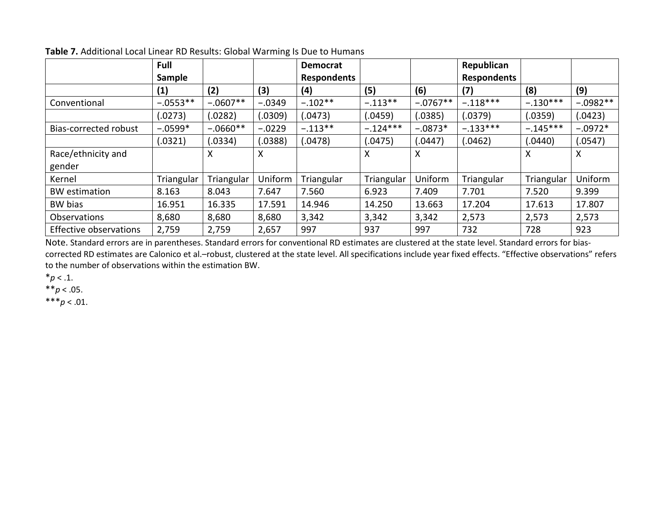|                               | Full       |            |          | <b>Democrat</b>    |            |            | Republican         |            |            |
|-------------------------------|------------|------------|----------|--------------------|------------|------------|--------------------|------------|------------|
|                               | Sample     |            |          | <b>Respondents</b> |            |            | <b>Respondents</b> |            |            |
|                               | (1)        | (2)        | (3)      | (4)                | (5)        | (6)        | (7)                | (8)        | (9)        |
| Conventional                  | $-.0553**$ | $-.0607**$ | $-.0349$ | $-.102**$          | $-.113**$  | $-.0767**$ | $-.118***$         | $-.130***$ | $-.0982**$ |
|                               | (.0273)    | (.0282)    | .0309)   | (0473)             | (.0459)    | (.0385)    | (.0379)            | (.0359)    | (.0423)    |
| Bias-corrected robust         | $-.0599*$  | $-.0660**$ | $-.0229$ | $-.113**$          | $-.124***$ | $-.0873*$  | $-.133***$         | $-.145***$ | $-.0972*$  |
|                               | (.0321)    | (.0334)    | (.0388)  | (.0478)            | (.0475)    | (.0447)    | (.0462)            | (.0440)    | (.0547)    |
| Race/ethnicity and            |            | X          | X        |                    | х          | X          |                    | X          | X          |
| gender                        |            |            |          |                    |            |            |                    |            |            |
| Kernel                        | Triangular | Triangular | Uniform  | Triangular         | Triangular | Uniform    | Triangular         | Triangular | Uniform    |
| <b>BW</b> estimation          | 8.163      | 8.043      | 7.647    | 7.560              | 6.923      | 7.409      | 7.701              | 7.520      | 9.399      |
| BW bias                       | 16.951     | 16.335     | 17.591   | 14.946             | 14.250     | 13.663     | 17.204             | 17.613     | 17.807     |
| Observations                  | 8,680      | 8,680      | 8,680    | 3,342              | 3,342      | 3,342      | 2,573              | 2,573      | 2,573      |
| <b>Effective observations</b> | 2,759      | 2,759      | 2,657    | 997                | 937        | 997        | 732                | 728        | 923        |

**Table 7.** Additional Local Linear RD Results: Global Warming Is Due to Humans

Note. Standard errors are in parentheses. Standard errors for conventional RD estimates are clustered at the state level. Standard errors for biascorrected RD estimates are Calonico et al.–robust, clustered at the state level. All specifications include year fixed effects. "Effective observations" refers to the number of observations within the estimation BW.

 $*_{p < .1.}$ 

 $*$ *\*p* < .05.

\*\*\**p* < .01.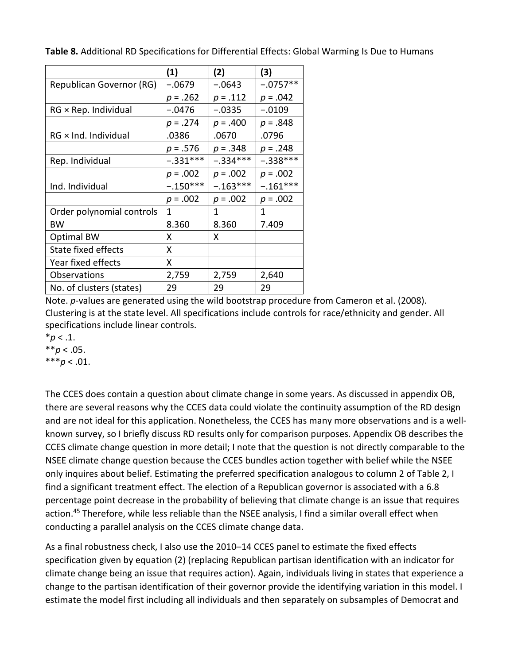|                             | (1)        | (2)        | (3)        |
|-----------------------------|------------|------------|------------|
| Republican Governor (RG)    | $-.0679$   | $-.0643$   | $-.0757**$ |
|                             | $p = .262$ | $p = .112$ | $p = .042$ |
| $RG \times Rep.$ Individual | $-.0476$   | $-.0335$   | $-.0109$   |
|                             | $p = .274$ | $p = .400$ | $p = .848$ |
| $RG \times Ind.$ Individual | .0386      | .0670      | .0796      |
|                             | $p = .576$ | $p = .348$ | $p = .248$ |
| Rep. Individual             | $-.331***$ | $-.334***$ | $-.338***$ |
|                             | $p = .002$ | $p = .002$ | $p = .002$ |
| Ind. Individual             | $-.150***$ | $-.163***$ | $-.161***$ |
|                             | $p = .002$ | $p = .002$ | $p = .002$ |
| Order polynomial controls   | 1          | 1          | 1          |
| <b>BW</b>                   | 8.360      | 8.360      | 7.409      |
| <b>Optimal BW</b>           | x          | x          |            |
| State fixed effects         | X          |            |            |
| Year fixed effects          | X          |            |            |
| Observations                | 2,759      | 2,759      | 2,640      |
| No. of clusters (states)    | 29         | 29         | 29         |

**Table 8.** Additional RD Specifications for Differential Effects: Global Warming Is Due to Humans

Note. *p*-values are generated using the wild bootstrap procedure from Cameron et al. (2008). Clustering is at the state level. All specifications include controls for race/ethnicity and gender. All specifications include linear controls.

 $*p < .1$ .

 $*^*p < .05$ .

\*\*\**p* < .01.

The CCES does contain a question about climate change in some years. As discussed in appendix OB, there are several reasons why the CCES data could violate the continuity assumption of the RD design and are not ideal for this application. Nonetheless, the CCES has many more observations and is a wellknown survey, so I briefly discuss RD results only for comparison purposes. Appendix OB describes the CCES climate change question in more detail; I note that the question is not directly comparable to the NSEE climate change question because the CCES bundles action together with belief while the NSEE only inquires about belief. Estimating the preferred specification analogous to column 2 of Table 2, I find a significant treatment effect. The election of a Republican governor is associated with a 6.8 percentage point decrease in the probability of believing that climate change is an issue that requires action.<sup>45</sup> Therefore, while less reliable than the NSEE analysis, I find a similar overall effect when conducting a parallel analysis on the CCES climate change data.

As a final robustness check, I also use the 2010–14 CCES panel to estimate the fixed effects specification given by equation (2) (replacing Republican partisan identification with an indicator for climate change being an issue that requires action). Again, individuals living in states that experience a change to the partisan identification of their governor provide the identifying variation in this model. I estimate the model first including all individuals and then separately on subsamples of Democrat and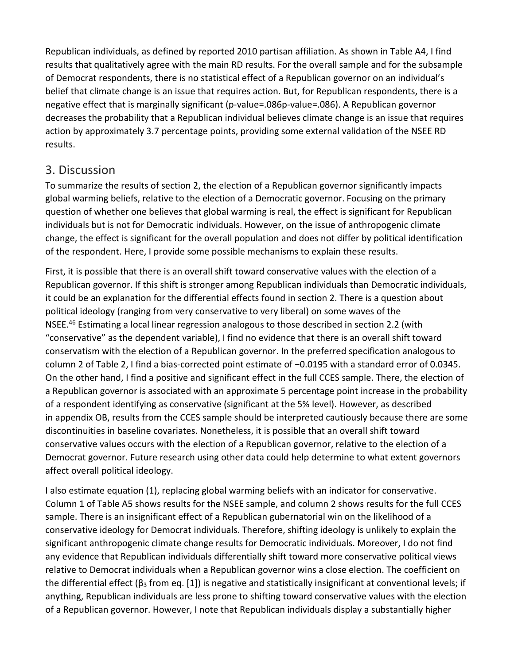Republican individuals, as defined by reported 2010 partisan affiliation. As shown in Table A4, I find results that qualitatively agree with the main RD results. For the overall sample and for the subsample of Democrat respondents, there is no statistical effect of a Republican governor on an individual's belief that climate change is an issue that requires action. But, for Republican respondents, there is a negative effect that is marginally significant (p-value=.086p-value=.086). A Republican governor decreases the probability that a Republican individual believes climate change is an issue that requires action by approximately 3.7 percentage points, providing some external validation of the NSEE RD results.

## 3. Discussion

To summarize the results of section 2, the election of a Republican governor significantly impacts global warming beliefs, relative to the election of a Democratic governor. Focusing on the primary question of whether one believes that global warming is real, the effect is significant for Republican individuals but is not for Democratic individuals. However, on the issue of anthropogenic climate change, the effect is significant for the overall population and does not differ by political identification of the respondent. Here, I provide some possible mechanisms to explain these results.

First, it is possible that there is an overall shift toward conservative values with the election of a Republican governor. If this shift is stronger among Republican individuals than Democratic individuals, it could be an explanation for the differential effects found in section 2. There is a question about political ideology (ranging from very conservative to very liberal) on some waves of the NSEE.46 Estimating a local linear regression analogous to those described in section 2.2 (with "conservative" as the dependent variable), I find no evidence that there is an overall shift toward conservatism with the election of a Republican governor. In the preferred specification analogous to column 2 of Table 2, I find a bias-corrected point estimate of −0.0195 with a standard error of 0.0345. On the other hand, I find a positive and significant effect in the full CCES sample. There, the election of a Republican governor is associated with an approximate 5 percentage point increase in the probability of a respondent identifying as conservative (significant at the 5% level). However, as described in appendix OB, results from the CCES sample should be interpreted cautiously because there are some discontinuities in baseline covariates. Nonetheless, it is possible that an overall shift toward conservative values occurs with the election of a Republican governor, relative to the election of a Democrat governor. Future research using other data could help determine to what extent governors affect overall political ideology.

I also estimate equation (1), replacing global warming beliefs with an indicator for conservative. Column 1 of Table A5 shows results for the NSEE sample, and column 2 shows results for the full CCES sample. There is an insignificant effect of a Republican gubernatorial win on the likelihood of a conservative ideology for Democrat individuals. Therefore, shifting ideology is unlikely to explain the significant anthropogenic climate change results for Democratic individuals. Moreover, I do not find any evidence that Republican individuals differentially shift toward more conservative political views relative to Democrat individuals when a Republican governor wins a close election. The coefficient on the differential effect ( $\beta_3$  from eq. [1]) is negative and statistically insignificant at conventional levels; if anything, Republican individuals are less prone to shifting toward conservative values with the election of a Republican governor. However, I note that Republican individuals display a substantially higher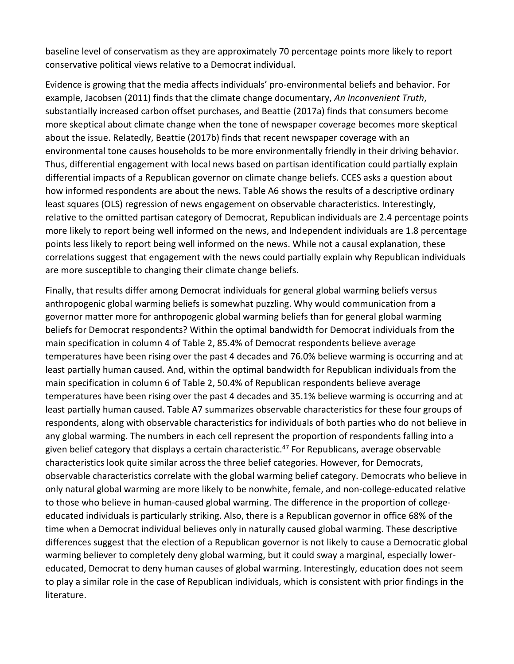baseline level of conservatism as they are approximately 70 percentage points more likely to report conservative political views relative to a Democrat individual.

Evidence is growing that the media affects individuals' pro-environmental beliefs and behavior. For example, Jacobsen (2011) finds that the climate change documentary, *An Inconvenient Truth*, substantially increased carbon offset purchases, and Beattie (2017a) finds that consumers become more skeptical about climate change when the tone of newspaper coverage becomes more skeptical about the issue. Relatedly, Beattie (2017b) finds that recent newspaper coverage with an environmental tone causes households to be more environmentally friendly in their driving behavior. Thus, differential engagement with local news based on partisan identification could partially explain differential impacts of a Republican governor on climate change beliefs. CCES asks a question about how informed respondents are about the news. Table A6 shows the results of a descriptive ordinary least squares (OLS) regression of news engagement on observable characteristics. Interestingly, relative to the omitted partisan category of Democrat, Republican individuals are 2.4 percentage points more likely to report being well informed on the news, and Independent individuals are 1.8 percentage points less likely to report being well informed on the news. While not a causal explanation, these correlations suggest that engagement with the news could partially explain why Republican individuals are more susceptible to changing their climate change beliefs.

Finally, that results differ among Democrat individuals for general global warming beliefs versus anthropogenic global warming beliefs is somewhat puzzling. Why would communication from a governor matter more for anthropogenic global warming beliefs than for general global warming beliefs for Democrat respondents? Within the optimal bandwidth for Democrat individuals from the main specification in column 4 of Table 2, 85.4% of Democrat respondents believe average temperatures have been rising over the past 4 decades and 76.0% believe warming is occurring and at least partially human caused. And, within the optimal bandwidth for Republican individuals from the main specification in column 6 of Table 2, 50.4% of Republican respondents believe average temperatures have been rising over the past 4 decades and 35.1% believe warming is occurring and at least partially human caused. Table A7 summarizes observable characteristics for these four groups of respondents, along with observable characteristics for individuals of both parties who do not believe in any global warming. The numbers in each cell represent the proportion of respondents falling into a given belief category that displays a certain characteristic.<sup>47</sup> For Republicans, average observable characteristics look quite similar across the three belief categories. However, for Democrats, observable characteristics correlate with the global warming belief category. Democrats who believe in only natural global warming are more likely to be nonwhite, female, and non-college-educated relative to those who believe in human-caused global warming. The difference in the proportion of collegeeducated individuals is particularly striking. Also, there is a Republican governor in office 68% of the time when a Democrat individual believes only in naturally caused global warming. These descriptive differences suggest that the election of a Republican governor is not likely to cause a Democratic global warming believer to completely deny global warming, but it could sway a marginal, especially lowereducated, Democrat to deny human causes of global warming. Interestingly, education does not seem to play a similar role in the case of Republican individuals, which is consistent with prior findings in the literature.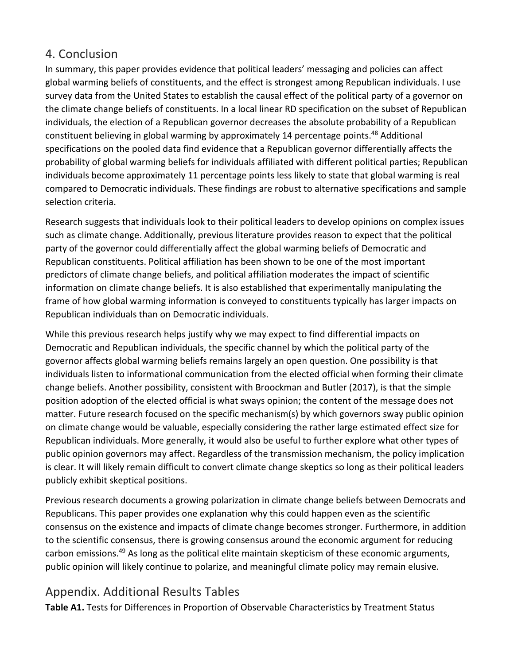### 4. Conclusion

In summary, this paper provides evidence that political leaders' messaging and policies can affect global warming beliefs of constituents, and the effect is strongest among Republican individuals. I use survey data from the United States to establish the causal effect of the political party of a governor on the climate change beliefs of constituents. In a local linear RD specification on the subset of Republican individuals, the election of a Republican governor decreases the absolute probability of a Republican constituent believing in global warming by approximately 14 percentage points.<sup>48</sup> Additional specifications on the pooled data find evidence that a Republican governor differentially affects the probability of global warming beliefs for individuals affiliated with different political parties; Republican individuals become approximately 11 percentage points less likely to state that global warming is real compared to Democratic individuals. These findings are robust to alternative specifications and sample selection criteria.

Research suggests that individuals look to their political leaders to develop opinions on complex issues such as climate change. Additionally, previous literature provides reason to expect that the political party of the governor could differentially affect the global warming beliefs of Democratic and Republican constituents. Political affiliation has been shown to be one of the most important predictors of climate change beliefs, and political affiliation moderates the impact of scientific information on climate change beliefs. It is also established that experimentally manipulating the frame of how global warming information is conveyed to constituents typically has larger impacts on Republican individuals than on Democratic individuals.

While this previous research helps justify why we may expect to find differential impacts on Democratic and Republican individuals, the specific channel by which the political party of the governor affects global warming beliefs remains largely an open question. One possibility is that individuals listen to informational communication from the elected official when forming their climate change beliefs. Another possibility, consistent with Broockman and Butler (2017), is that the simple position adoption of the elected official is what sways opinion; the content of the message does not matter. Future research focused on the specific mechanism(s) by which governors sway public opinion on climate change would be valuable, especially considering the rather large estimated effect size for Republican individuals. More generally, it would also be useful to further explore what other types of public opinion governors may affect. Regardless of the transmission mechanism, the policy implication is clear. It will likely remain difficult to convert climate change skeptics so long as their political leaders publicly exhibit skeptical positions.

Previous research documents a growing polarization in climate change beliefs between Democrats and Republicans. This paper provides one explanation why this could happen even as the scientific consensus on the existence and impacts of climate change becomes stronger. Furthermore, in addition to the scientific consensus, there is growing consensus around the economic argument for reducing carbon emissions.49 As long as the political elite maintain skepticism of these economic arguments, public opinion will likely continue to polarize, and meaningful climate policy may remain elusive.

## Appendix. Additional Results Tables

**Table A1.** Tests for Differences in Proportion of Observable Characteristics by Treatment Status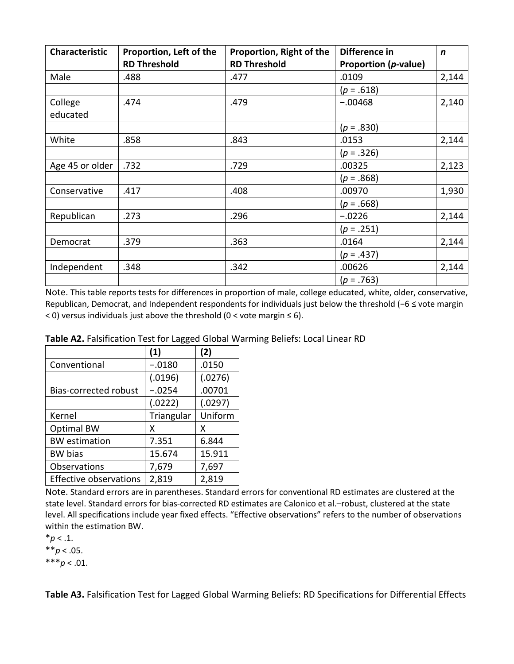| Characteristic  | Proportion, Left of the | Proportion, Right of the | Difference in        | $\mathbf n$ |
|-----------------|-------------------------|--------------------------|----------------------|-------------|
|                 | <b>RD Threshold</b>     | <b>RD Threshold</b>      | Proportion (p-value) |             |
| Male            | .488                    | .477                     | .0109                | 2,144       |
|                 |                         |                          | $(p=.618)$           |             |
| College         | .474                    | .479                     | $-.00468$            | 2,140       |
| educated        |                         |                          |                      |             |
|                 |                         |                          | $(p=.830)$           |             |
| White           | .858                    | .843                     | .0153                | 2,144       |
|                 |                         |                          | $(p=.326)$           |             |
| Age 45 or older | .732                    | .729                     | .00325               | 2,123       |
|                 |                         |                          | $(p=.868)$           |             |
| Conservative    | .417                    | .408                     | .00970               | 1,930       |
|                 |                         |                          | $(p=.668)$           |             |
| Republican      | .273                    | .296                     | $-.0226$             | 2,144       |
|                 |                         |                          | $(p=.251)$           |             |
| Democrat        | .379                    | .363                     | .0164                | 2,144       |
|                 |                         |                          | $(p=.437)$           |             |
| Independent     | .348                    | .342                     | .00626               | 2,144       |
|                 |                         |                          | $(p = .763)$         |             |

Note. This table reports tests for differences in proportion of male, college educated, white, older, conservative, Republican, Democrat, and Independent respondents for individuals just below the threshold (−6 ≤ vote margin < 0) versus individuals just above the threshold (0 < vote margin ≤ 6).

**Table A2.** Falsification Test for Lagged Global Warming Beliefs: Local Linear RD

|                               | (1)        | (2)     |
|-------------------------------|------------|---------|
| Conventional                  | $-.0180$   | .0150   |
|                               | (.0196)    | (.0276) |
| <b>Bias-corrected robust</b>  | $-.0254$   | .00701  |
|                               | (.0222)    | (.0297) |
| Kernel                        | Triangular | Uniform |
| <b>Optimal BW</b>             | X          | x       |
| <b>BW</b> estimation          | 7.351      | 6.844   |
| <b>BW</b> bias                | 15.674     | 15.911  |
| Observations                  | 7,679      | 7,697   |
| <b>Effective observations</b> | 2,819      | 2,819   |

Note. Standard errors are in parentheses. Standard errors for conventional RD estimates are clustered at the state level. Standard errors for bias-corrected RD estimates are Calonico et al.–robust, clustered at the state level. All specifications include year fixed effects. "Effective observations" refers to the number of observations within the estimation BW.

 $*$ *p* < .1.  $*$ *\*p* < .05. \*\*\**p* < .01.

**Table A3.** Falsification Test for Lagged Global Warming Beliefs: RD Specifications for Differential Effects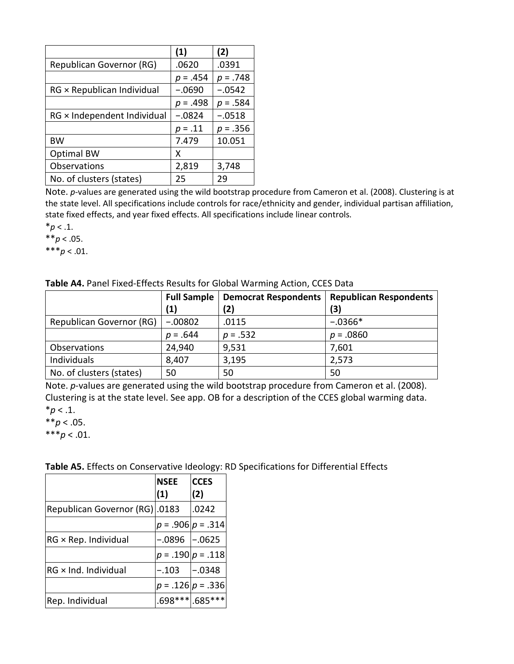|                             | (1)        | (2)        |
|-----------------------------|------------|------------|
| Republican Governor (RG)    | .0620      | .0391      |
|                             | $p = .454$ | $p = .748$ |
| RG × Republican Individual  | $-.0690$   | $-.0542$   |
|                             | $p = .498$ | $p = .584$ |
| RG × Independent Individual | $-.0824$   | $-.0518$   |
|                             | $p = .11$  | $p = .356$ |
| BW                          | 7.479      | 10.051     |
| <b>Optimal BW</b>           | x          |            |
| Observations                | 2,819      | 3,748      |
| No. of clusters (states)    | 25         | 29         |

Note. *p*-values are generated using the wild bootstrap procedure from Cameron et al. (2008). Clustering is at the state level. All specifications include controls for race/ethnicity and gender, individual partisan affiliation, state fixed effects, and year fixed effects. All specifications include linear controls.

 $*_{p}$  < .1.

 $*^*p < .05$ .

\*\*\**p* < .01.

|                          | <b>Full Sample</b> | <b>Democrat Respondents</b> | <b>Republican Respondents</b> |
|--------------------------|--------------------|-----------------------------|-------------------------------|
|                          | (1)                | (2)                         | (3)                           |
| Republican Governor (RG) | $-.00802$          | .0115                       | $-.0366*$                     |
|                          | $p = .644$         | $p = .532$                  | $p = .0860$                   |
| Observations             | 24,940             | 9,531                       | 7,601                         |
| Individuals              | 8,407              | 3,195                       | 2,573                         |
| No. of clusters (states) | 50                 | 50                          | 50                            |

**Table A4.** Panel Fixed-Effects Results for Global Warming Action, CCES Data

Note. *p*-values are generated using the wild bootstrap procedure from Cameron et al. (2008). Clustering is at the state level. See app. OB for a description of the CCES global warming data.  $*$ *p* < .1.

 $*^*p < .05$ .

\*\*\**p* < .01.

| Table A5. Effects on Conservative Ideology: RD Specifications for Differential Effects |  |
|----------------------------------------------------------------------------------------|--|
|----------------------------------------------------------------------------------------|--|

|                             | <b>NSEE</b><br>(1)    | <b>CCES</b><br>(2)    |
|-----------------------------|-----------------------|-----------------------|
| Republican Governor (RG)    | .0183                 | .0242                 |
|                             | $p = .906$ $p = .314$ |                       |
| $RG \times Rep.$ Individual | $-.0896$              | $-.0625$              |
|                             | $p = .190 p = .118$   |                       |
| $RG \times Ind.$ Individual | -.103                 | $-.0348$              |
|                             |                       | $p = .126$ $p = .336$ |
| Rep. Individual             |                       | .698*** .685***       |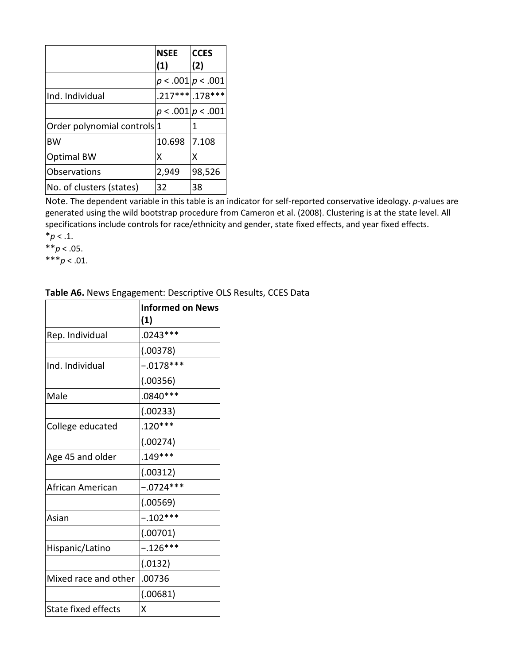|                             | <b>NSEE</b><br>(1) | <b>CCES</b><br>(2)    |
|-----------------------------|--------------------|-----------------------|
|                             |                    | $p < .001$ $p < .001$ |
| Ind. Individual             |                    | $.217***$ .178***     |
|                             |                    | $p < .001$ $p < .001$ |
| Order polynomial controls 1 |                    | 1                     |
| <b>BW</b>                   | 10.698             | 7.108                 |
| <b>Optimal BW</b>           | x                  | x                     |
| Observations                | 2,949              | 98,526                |
| No. of clusters (states)    | 32                 | 38                    |

Note. The dependent variable in this table is an indicator for self-reported conservative ideology. *p*-values are generated using the wild bootstrap procedure from Cameron et al. (2008). Clustering is at the state level. All specifications include controls for race/ethnicity and gender, state fixed effects, and year fixed effects.

 $*_{p}$  < .1.

\*\**p* < .05.

\*\*\**p* < .01.

#### **Table A6.** News Engagement: Descriptive OLS Results, CCES Data

|                            | <b>Informed on News</b><br>(1) |
|----------------------------|--------------------------------|
| Rep. Individual            | $.0243***$                     |
|                            | (.00378)                       |
| Ind. Individual            | $-.0178***$                    |
|                            | (.00356)                       |
| Male                       | $.0840***$                     |
|                            | (.00233)                       |
| College educated           | $.120***$                      |
|                            | (.00274)                       |
| Age 45 and older           | $.149***$                      |
|                            | (.00312)                       |
| African American           | $-.0724***$                    |
|                            | (.00569)                       |
| Asian                      | $-.102***$                     |
|                            | (.00701)                       |
| Hispanic/Latino            | $-.126***$                     |
|                            | (.0132)                        |
| Mixed race and other       | .00736                         |
|                            | (.00681)                       |
| <b>State fixed effects</b> | Χ                              |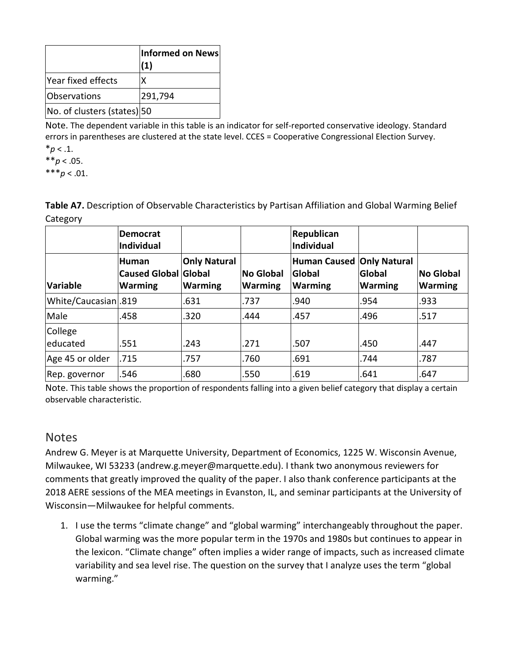|                             | Informed on News<br>(1) |
|-----------------------------|-------------------------|
| Year fixed effects          |                         |
| Observations                | 291,794                 |
| No. of clusters (states) 50 |                         |

Note. The dependent variable in this table is an indicator for self-reported conservative ideology. Standard errors in parentheses are clustered at the state level. CCES = Cooperative Congressional Election Survey.

 $*_{p}$  < .1.  $*^*p < .05$ . \*\*\**p* < .01.

**Table A7.** Description of Observable Characteristics by Partisan Affiliation and Global Warming Belief Category

|                     | Democrat<br>Individual                                 |                                       |                                    | Republican<br>Individual                       |                          |                                    |
|---------------------|--------------------------------------------------------|---------------------------------------|------------------------------------|------------------------------------------------|--------------------------|------------------------------------|
| <b>Variable</b>     | Human<br><b>Caused Global Global</b><br><b>Warming</b> | <b>Only Natural</b><br><b>Warming</b> | <b>No Global</b><br><b>Warming</b> | Human Caused Only Natural<br>Global<br>Warming | Global<br><b>Warming</b> | <b>No Global</b><br><b>Warming</b> |
| White/Caucasian.819 |                                                        | .631                                  | .737                               | .940                                           | .954                     | .933                               |
| Male                | .458                                                   | .320                                  | .444                               | .457                                           | .496                     | .517                               |
| College<br>educated | .551                                                   | .243                                  | .271                               | .507                                           | .450                     | .447                               |
| Age 45 or older     | .715                                                   | .757                                  | .760                               | .691                                           | .744                     | .787                               |
| Rep. governor       | .546                                                   | .680                                  | .550                               | .619                                           | .641                     | .647                               |

Note. This table shows the proportion of respondents falling into a given belief category that display a certain observable characteristic.

### **Notes**

Andrew G. Meyer is at Marquette University, Department of Economics, 1225 W. Wisconsin Avenue, Milwaukee, WI 53233 (andrew.g.meyer@marquette.edu). I thank two anonymous reviewers for comments that greatly improved the quality of the paper. I also thank conference participants at the 2018 AERE sessions of the MEA meetings in Evanston, IL, and seminar participants at the University of Wisconsin—Milwaukee for helpful comments.

1. I use the terms "climate change" and "global warming" interchangeably throughout the paper. Global warming was the more popular term in the 1970s and 1980s but continues to appear in the lexicon. "Climate change" often implies a wider range of impacts, such as increased climate variability and sea level rise. The question on the survey that I analyze uses the term "global warming."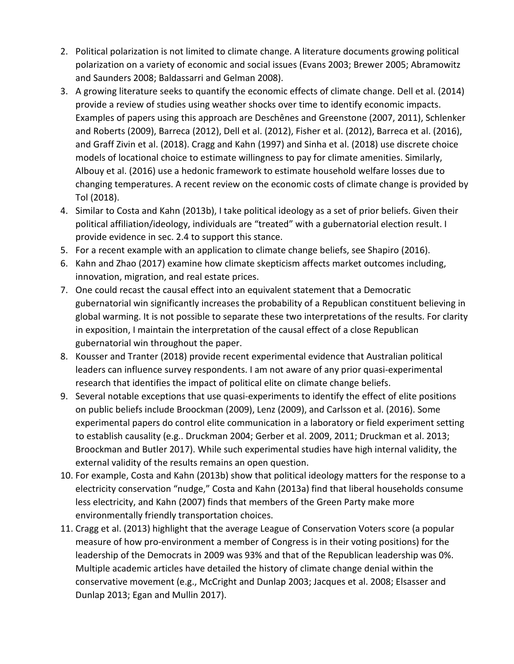- 2. Political polarization is not limited to climate change. A literature documents growing political polarization on a variety of economic and social issues (Evans 2003; Brewer 2005; Abramowitz and Saunders 2008; Baldassarri and Gelman 2008).
- 3. A growing literature seeks to quantify the economic effects of climate change. Dell et al. (2014) provide a review of studies using weather shocks over time to identify economic impacts. Examples of papers using this approach are Deschênes and Greenstone (2007, 2011), Schlenker and Roberts (2009), Barreca (2012), Dell et al. (2012), Fisher et al. (2012), Barreca et al. (2016), and Graff Zivin et al. (2018). Cragg and Kahn (1997) and Sinha et al. (2018) use discrete choice models of locational choice to estimate willingness to pay for climate amenities. Similarly, Albouy et al. (2016) use a hedonic framework to estimate household welfare losses due to changing temperatures. A recent review on the economic costs of climate change is provided by Tol (2018).
- 4. Similar to Costa and Kahn (2013b), I take political ideology as a set of prior beliefs. Given their political affiliation/ideology, individuals are "treated" with a gubernatorial election result. I provide evidence in sec. 2.4 to support this stance.
- 5. For a recent example with an application to climate change beliefs, see Shapiro (2016).
- 6. Kahn and Zhao (2017) examine how climate skepticism affects market outcomes including, innovation, migration, and real estate prices.
- 7. One could recast the causal effect into an equivalent statement that a Democratic gubernatorial win significantly increases the probability of a Republican constituent believing in global warming. It is not possible to separate these two interpretations of the results. For clarity in exposition, I maintain the interpretation of the causal effect of a close Republican gubernatorial win throughout the paper.
- 8. Kousser and Tranter (2018) provide recent experimental evidence that Australian political leaders can influence survey respondents. I am not aware of any prior quasi-experimental research that identifies the impact of political elite on climate change beliefs.
- 9. Several notable exceptions that use quasi-experiments to identify the effect of elite positions on public beliefs include Broockman (2009), Lenz (2009), and Carlsson et al. (2016). Some experimental papers do control elite communication in a laboratory or field experiment setting to establish causality (e.g.. Druckman 2004; Gerber et al. 2009, 2011; Druckman et al. 2013; Broockman and Butler 2017). While such experimental studies have high internal validity, the external validity of the results remains an open question.
- 10. For example, Costa and Kahn (2013b) show that political ideology matters for the response to a electricity conservation "nudge," Costa and Kahn (2013a) find that liberal households consume less electricity, and Kahn (2007) finds that members of the Green Party make more environmentally friendly transportation choices.
- 11. Cragg et al. (2013) highlight that the average League of Conservation Voters score (a popular measure of how pro-environment a member of Congress is in their voting positions) for the leadership of the Democrats in 2009 was 93% and that of the Republican leadership was 0%. Multiple academic articles have detailed the history of climate change denial within the conservative movement (e.g., McCright and Dunlap 2003; Jacques et al. 2008; Elsasser and Dunlap 2013; Egan and Mullin 2017).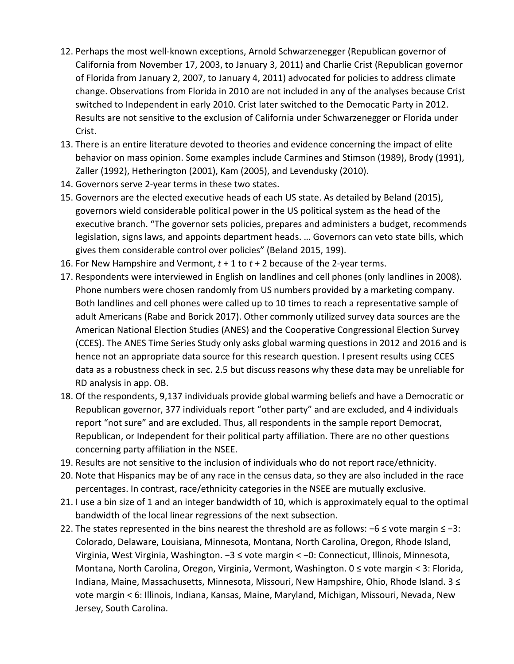- 12. Perhaps the most well-known exceptions, Arnold Schwarzenegger (Republican governor of California from November 17, 2003, to January 3, 2011) and Charlie Crist (Republican governor of Florida from January 2, 2007, to January 4, 2011) advocated for policies to address climate change. Observations from Florida in 2010 are not included in any of the analyses because Crist switched to Independent in early 2010. Crist later switched to the Democatic Party in 2012. Results are not sensitive to the exclusion of California under Schwarzenegger or Florida under Crist.
- 13. There is an entire literature devoted to theories and evidence concerning the impact of elite behavior on mass opinion. Some examples include Carmines and Stimson (1989), Brody (1991), Zaller (1992), Hetherington (2001), Kam (2005), and Levendusky (2010).
- 14. Governors serve 2-year terms in these two states.
- 15. Governors are the elected executive heads of each US state. As detailed by Beland (2015), governors wield considerable political power in the US political system as the head of the executive branch. "The governor sets policies, prepares and administers a budget, recommends legislation, signs laws, and appoints department heads. … Governors can veto state bills, which gives them considerable control over policies" (Beland 2015, 199).
- 16. For New Hampshire and Vermont, *t* + 1 to *t* + 2 because of the 2-year terms.
- 17. Respondents were interviewed in English on landlines and cell phones (only landlines in 2008). Phone numbers were chosen randomly from US numbers provided by a marketing company. Both landlines and cell phones were called up to 10 times to reach a representative sample of adult Americans (Rabe and Borick 2017). Other commonly utilized survey data sources are the American National Election Studies (ANES) and the Cooperative Congressional Election Survey (CCES). The ANES Time Series Study only asks global warming questions in 2012 and 2016 and is hence not an appropriate data source for this research question. I present results using CCES data as a robustness check in sec. 2.5 but discuss reasons why these data may be unreliable for RD analysis in app. OB.
- 18. Of the respondents, 9,137 individuals provide global warming beliefs and have a Democratic or Republican governor, 377 individuals report "other party" and are excluded, and 4 individuals report "not sure" and are excluded. Thus, all respondents in the sample report Democrat, Republican, or Independent for their political party affiliation. There are no other questions concerning party affiliation in the NSEE.
- 19. Results are not sensitive to the inclusion of individuals who do not report race/ethnicity.
- 20. Note that Hispanics may be of any race in the census data, so they are also included in the race percentages. In contrast, race/ethnicity categories in the NSEE are mutually exclusive.
- 21. I use a bin size of 1 and an integer bandwidth of 10, which is approximately equal to the optimal bandwidth of the local linear regressions of the next subsection.
- 22. The states represented in the bins nearest the threshold are as follows: −6 ≤ vote margin ≤ −3: Colorado, Delaware, Louisiana, Minnesota, Montana, North Carolina, Oregon, Rhode Island, Virginia, West Virginia, Washington. −3 ≤ vote margin < −0: Connecticut, Illinois, Minnesota, Montana, North Carolina, Oregon, Virginia, Vermont, Washington. 0 ≤ vote margin < 3: Florida, Indiana, Maine, Massachusetts, Minnesota, Missouri, New Hampshire, Ohio, Rhode Island. 3 ≤ vote margin < 6: Illinois, Indiana, Kansas, Maine, Maryland, Michigan, Missouri, Nevada, New Jersey, South Carolina.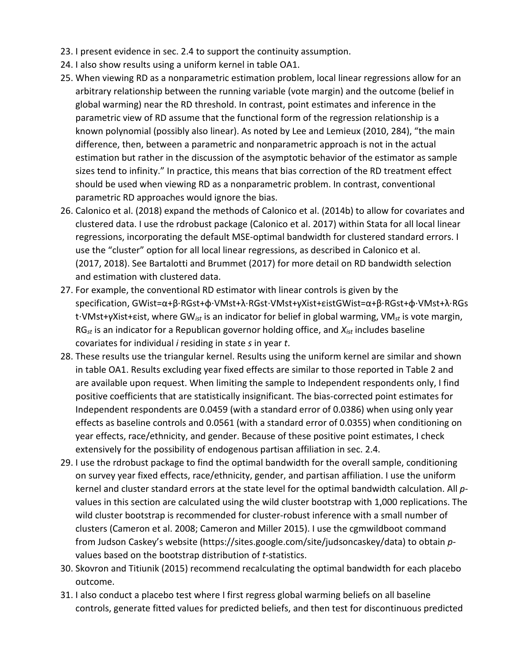- 23. I present evidence in sec. 2.4 to support the continuity assumption.
- 24. I also show results using a uniform kernel in table OA1.
- 25. When viewing RD as a nonparametric estimation problem, local linear regressions allow for an arbitrary relationship between the running variable (vote margin) and the outcome (belief in global warming) near the RD threshold. In contrast, point estimates and inference in the parametric view of RD assume that the functional form of the regression relationship is a known polynomial (possibly also linear). As noted by Lee and Lemieux (2010, 284), "the main difference, then, between a parametric and nonparametric approach is not in the actual estimation but rather in the discussion of the asymptotic behavior of the estimator as sample sizes tend to infinity." In practice, this means that bias correction of the RD treatment effect should be used when viewing RD as a nonparametric problem. In contrast, conventional parametric RD approaches would ignore the bias.
- 26. Calonico et al. (2018) expand the methods of Calonico et al. (2014b) to allow for covariates and clustered data. I use the rdrobust package (Calonico et al. 2017) within Stata for all local linear regressions, incorporating the default MSE-optimal bandwidth for clustered standard errors. I use the "cluster" option for all local linear regressions, as described in Calonico et al. (2017, 2018). See Bartalotti and Brummet (2017) for more detail on RD bandwidth selection and estimation with clustered data.
- 27. For example, the conventional RD estimator with linear controls is given by the specification, GWist=α+β⋅RGst+φ⋅VMst+λ⋅RGst⋅VMst+γXist+εistGWist=α+β⋅RGst+φ⋅VMst+λ⋅RGs t⋅VMst+γXist+εist, where GW*ist* is an indicator for belief in global warming, VM*st* is vote margin, RG*st* is an indicator for a Republican governor holding office, and *Xist* includes baseline covariates for individual *i* residing in state *s* in year *t*.
- 28. These results use the triangular kernel. Results using the uniform kernel are similar and shown in table OA1. Results excluding year fixed effects are similar to those reported in Table 2 and are available upon request. When limiting the sample to Independent respondents only, I find positive coefficients that are statistically insignificant. The bias-corrected point estimates for Independent respondents are 0.0459 (with a standard error of 0.0386) when using only year effects as baseline controls and 0.0561 (with a standard error of 0.0355) when conditioning on year effects, race/ethnicity, and gender. Because of these positive point estimates, I check extensively for the possibility of endogenous partisan affiliation in sec. 2.4.
- 29. I use the rdrobust package to find the optimal bandwidth for the overall sample, conditioning on survey year fixed effects, race/ethnicity, gender, and partisan affiliation. I use the uniform kernel and cluster standard errors at the state level for the optimal bandwidth calculation. All *p*values in this section are calculated using the wild cluster bootstrap with 1,000 replications. The wild cluster bootstrap is recommended for cluster-robust inference with a small number of clusters (Cameron et al. 2008; Cameron and Miller 2015). I use the cgmwildboot command from Judson Caskey's website (https://sites.google.com/site/judsoncaskey/data) to obtain *p*values based on the bootstrap distribution of *t*-statistics.
- 30. Skovron and Titiunik (2015) recommend recalculating the optimal bandwidth for each placebo outcome.
- 31. I also conduct a placebo test where I first regress global warming beliefs on all baseline controls, generate fitted values for predicted beliefs, and then test for discontinuous predicted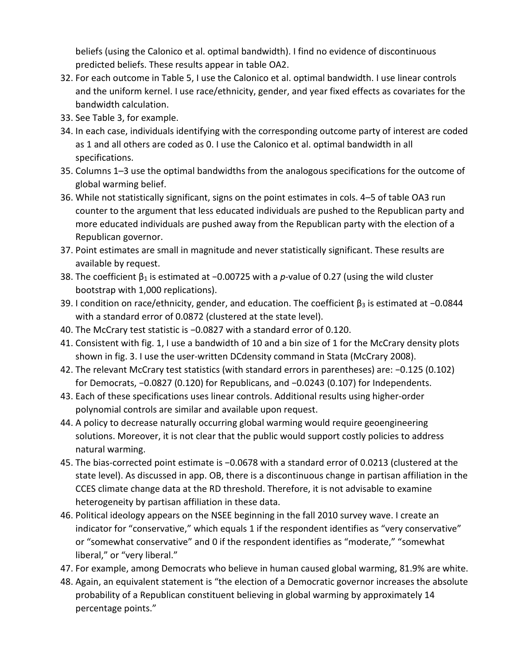beliefs (using the Calonico et al. optimal bandwidth). I find no evidence of discontinuous predicted beliefs. These results appear in table OA2.

- 32. For each outcome in Table 5, I use the Calonico et al. optimal bandwidth. I use linear controls and the uniform kernel. I use race/ethnicity, gender, and year fixed effects as covariates for the bandwidth calculation.
- 33. See Table 3, for example.
- 34. In each case, individuals identifying with the corresponding outcome party of interest are coded as 1 and all others are coded as 0. I use the Calonico et al. optimal bandwidth in all specifications.
- 35. Columns 1–3 use the optimal bandwidths from the analogous specifications for the outcome of global warming belief.
- 36. While not statistically significant, signs on the point estimates in cols. 4–5 of table OA3 run counter to the argument that less educated individuals are pushed to the Republican party and more educated individuals are pushed away from the Republican party with the election of a Republican governor.
- 37. Point estimates are small in magnitude and never statistically significant. These results are available by request.
- 38. The coefficient β<sub>1</sub> is estimated at −0.00725 with a *p*-value of 0.27 (using the wild cluster bootstrap with 1,000 replications).
- 39. I condition on race/ethnicity, gender, and education. The coefficient β<sub>3</sub> is estimated at −0.0844 with a standard error of 0.0872 (clustered at the state level).
- 40. The McCrary test statistic is −0.0827 with a standard error of 0.120.
- 41. Consistent with fig. 1, I use a bandwidth of 10 and a bin size of 1 for the McCrary density plots shown in fig. 3. I use the user-written DCdensity command in Stata (McCrary 2008).
- 42. The relevant McCrary test statistics (with standard errors in parentheses) are: −0.125 (0.102) for Democrats, −0.0827 (0.120) for Republicans, and −0.0243 (0.107) for Independents.
- 43. Each of these specifications uses linear controls. Additional results using higher-order polynomial controls are similar and available upon request.
- 44. A policy to decrease naturally occurring global warming would require geoengineering solutions. Moreover, it is not clear that the public would support costly policies to address natural warming.
- 45. The bias-corrected point estimate is −0.0678 with a standard error of 0.0213 (clustered at the state level). As discussed in app. OB, there is a discontinuous change in partisan affiliation in the CCES climate change data at the RD threshold. Therefore, it is not advisable to examine heterogeneity by partisan affiliation in these data.
- 46. Political ideology appears on the NSEE beginning in the fall 2010 survey wave. I create an indicator for "conservative," which equals 1 if the respondent identifies as "very conservative" or "somewhat conservative" and 0 if the respondent identifies as "moderate," "somewhat liberal," or "very liberal."
- 47. For example, among Democrats who believe in human caused global warming, 81.9% are white.
- 48. Again, an equivalent statement is "the election of a Democratic governor increases the absolute probability of a Republican constituent believing in global warming by approximately 14 percentage points."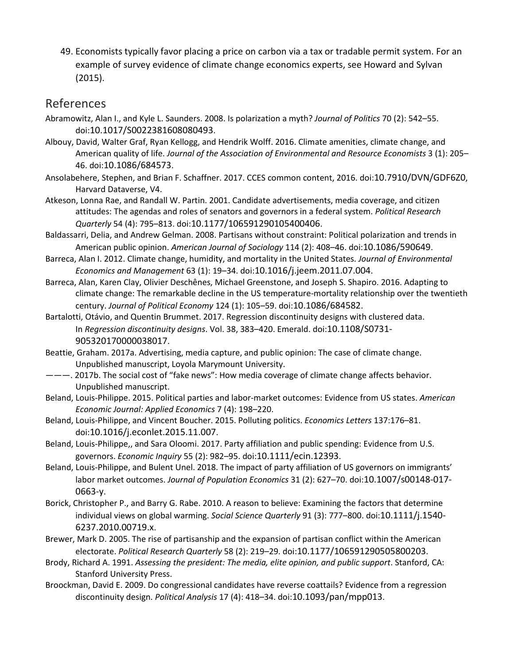49. Economists typically favor placing a price on carbon via a tax or tradable permit system. For an example of survey evidence of climate change economics experts, see Howard and Sylvan (2015).

#### References

- Abramowitz, Alan I., and Kyle L. Saunders. 2008. Is polarization a myth? *Journal of Politics* 70 (2): 542–55. doi:10.1017/S0022381608080493.
- Albouy, David, Walter Graf, Ryan Kellogg, and Hendrik Wolff. 2016. Climate amenities, climate change, and American quality of life. *Journal of the Association of Environmental and Resource Economists* 3 (1): 205– 46. doi:10.1086/684573.
- Ansolabehere, Stephen, and Brian F. Schaffner. 2017. CCES common content, 2016. doi:10.7910/DVN/GDF6Z0, Harvard Dataverse, V4.
- Atkeson, Lonna Rae, and Randall W. Partin. 2001. Candidate advertisements, media coverage, and citizen attitudes: The agendas and roles of senators and governors in a federal system. *Political Research Quarterly* 54 (4): 795–813. doi:10.1177/106591290105400406.
- Baldassarri, Delia, and Andrew Gelman. 2008. Partisans without constraint: Political polarization and trends in American public opinion. *American Journal of Sociology* 114 (2): 408–46. doi:10.1086/590649.
- Barreca, Alan I. 2012. Climate change, humidity, and mortality in the United States. *Journal of Environmental Economics and Management* 63 (1): 19–34. doi:10.1016/j.jeem.2011.07.004.
- Barreca, Alan, Karen Clay, Olivier Deschênes, Michael Greenstone, and Joseph S. Shapiro. 2016. Adapting to climate change: The remarkable decline in the US temperature-mortality relationship over the twentieth century. *Journal of Political Economy* 124 (1): 105–59. doi:10.1086/684582.
- Bartalotti, Otávio, and Quentin Brummet. 2017. Regression discontinuity designs with clustered data. In *Regression discontinuity designs*. Vol. 38, 383–420. Emerald. doi:10.1108/S0731- 905320170000038017.
- Beattie, Graham. 2017a. Advertising, media capture, and public opinion: The case of climate change. Unpublished manuscript, Loyola Marymount University.
- ———. 2017b. The social cost of "fake news": How media coverage of climate change affects behavior. Unpublished manuscript.
- Beland, Louis-Philippe. 2015. Political parties and labor-market outcomes: Evidence from US states. *American Economic Journal: Applied Economics* 7 (4): 198–220.
- Beland, Louis-Philippe, and Vincent Boucher. 2015. Polluting politics. *Economics Letters* 137:176–81. doi:10.1016/j.econlet.2015.11.007.
- Beland, Louis-Philippe,, and Sara Oloomi. 2017. Party affiliation and public spending: Evidence from U.S. governors. *Economic Inquiry* 55 (2): 982–95. doi:10.1111/ecin.12393.
- Beland, Louis-Philippe, and Bulent Unel. 2018. The impact of party affiliation of US governors on immigrants' labor market outcomes. *Journal of Population Economics* 31 (2): 627–70. doi:10.1007/s00148-017- 0663-y.
- Borick, Christopher P., and Barry G. Rabe. 2010. A reason to believe: Examining the factors that determine individual views on global warming. *Social Science Quarterly* 91 (3): 777–800. doi:10.1111/j.1540- 6237.2010.00719.x.
- Brewer, Mark D. 2005. The rise of partisanship and the expansion of partisan conflict within the American electorate. *Political Research Quarterly* 58 (2): 219–29. doi:10.1177/106591290505800203.
- Brody, Richard A. 1991. *Assessing the president: The media, elite opinion, and public support*. Stanford, CA: Stanford University Press.
- Broockman, David E. 2009. Do congressional candidates have reverse coattails? Evidence from a regression discontinuity design. *Political Analysis* 17 (4): 418–34. doi:10.1093/pan/mpp013.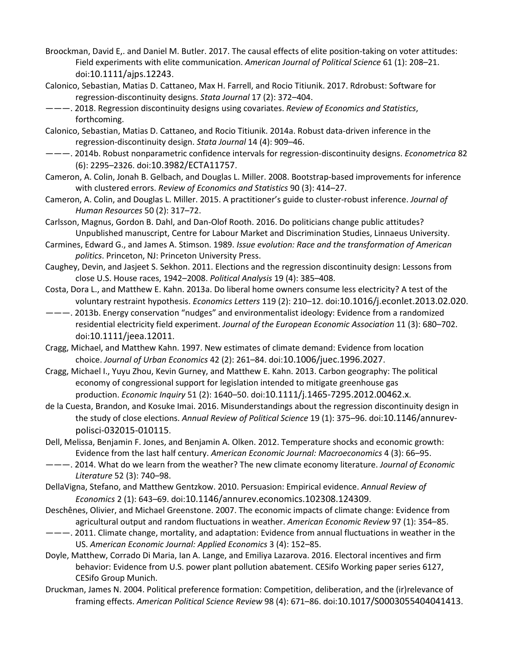- Broockman, David E,. and Daniel M. Butler. 2017. The causal effects of elite position-taking on voter attitudes: Field experiments with elite communication. *American Journal of Political Science* 61 (1): 208–21. doi:10.1111/ajps.12243.
- Calonico, Sebastian, Matias D. Cattaneo, Max H. Farrell, and Rocio Titiunik. 2017. Rdrobust: Software for regression-discontinuity designs. *Stata Journal* 17 (2): 372–404.
- ———. 2018. Regression discontinuity designs using covariates. *Review of Economics and Statistics*, forthcoming.
- Calonico, Sebastian, Matias D. Cattaneo, and Rocio Titiunik. 2014a. Robust data-driven inference in the regression-discontinuity design. *Stata Journal* 14 (4): 909–46.
- ———. 2014b. Robust nonparametric confidence intervals for regression-discontinuity designs. *Econometrica* 82 (6): 2295–2326. doi:10.3982/ECTA11757.
- Cameron, A. Colin, Jonah B. Gelbach, and Douglas L. Miller. 2008. Bootstrap-based improvements for inference with clustered errors. *Review of Economics and Statistics* 90 (3): 414–27.
- Cameron, A. Colin, and Douglas L. Miller. 2015. A practitioner's guide to cluster-robust inference. *Journal of Human Resources* 50 (2): 317–72.
- Carlsson, Magnus, Gordon B. Dahl, and Dan-Olof Rooth. 2016. Do politicians change public attitudes? Unpublished manuscript, Centre for Labour Market and Discrimination Studies, Linnaeus University.
- Carmines, Edward G., and James A. Stimson. 1989. *Issue evolution: Race and the transformation of American politics*. Princeton, NJ: Princeton University Press.
- Caughey, Devin, and Jasjeet S. Sekhon. 2011. Elections and the regression discontinuity design: Lessons from close U.S. House races, 1942–2008. *Political Analysis* 19 (4): 385–408.
- Costa, Dora L., and Matthew E. Kahn. 2013a. Do liberal home owners consume less electricity? A test of the voluntary restraint hypothesis. *Economics Letters* 119 (2): 210–12. doi:10.1016/j.econlet.2013.02.020.
- ———. 2013b. Energy conservation "nudges" and environmentalist ideology: Evidence from a randomized residential electricity field experiment. *Journal of the European Economic Association* 11 (3): 680–702. doi:10.1111/jeea.12011.
- Cragg, Michael, and Matthew Kahn. 1997. New estimates of climate demand: Evidence from location choice. *Journal of Urban Economics* 42 (2): 261–84. doi:10.1006/juec.1996.2027.
- Cragg, Michael I., Yuyu Zhou, Kevin Gurney, and Matthew E. Kahn. 2013. Carbon geography: The political economy of congressional support for legislation intended to mitigate greenhouse gas production. *Economic Inquiry* 51 (2): 1640–50. doi:10.1111/j.1465-7295.2012.00462.x.
- de la Cuesta, Brandon, and Kosuke Imai. 2016. Misunderstandings about the regression discontinuity design in the study of close elections. *Annual Review of Political Science* 19 (1): 375–96. doi:10.1146/annurevpolisci-032015-010115.
- Dell, Melissa, Benjamin F. Jones, and Benjamin A. Olken. 2012. Temperature shocks and economic growth: Evidence from the last half century. *American Economic Journal: Macroeconomics* 4 (3): 66–95.
- ———. 2014. What do we learn from the weather? The new climate economy literature. *Journal of Economic Literature* 52 (3): 740–98.
- DellaVigna, Stefano, and Matthew Gentzkow. 2010. Persuasion: Empirical evidence. *Annual Review of Economics* 2 (1): 643–69. doi:10.1146/annurev.economics.102308.124309.
- Deschênes, Olivier, and Michael Greenstone. 2007. The economic impacts of climate change: Evidence from agricultural output and random fluctuations in weather. *American Economic Review* 97 (1): 354–85.
- ———. 2011. Climate change, mortality, and adaptation: Evidence from annual fluctuations in weather in the US. *American Economic Journal: Applied Economics* 3 (4): 152–85.
- Doyle, Matthew, Corrado Di Maria, Ian A. Lange, and Emiliya Lazarova. 2016. Electoral incentives and firm behavior: Evidence from U.S. power plant pollution abatement. CESifo Working paper series 6127, CESifo Group Munich.
- Druckman, James N. 2004. Political preference formation: Competition, deliberation, and the (ir)relevance of framing effects. *American Political Science Review* 98 (4): 671–86. doi:10.1017/S0003055404041413.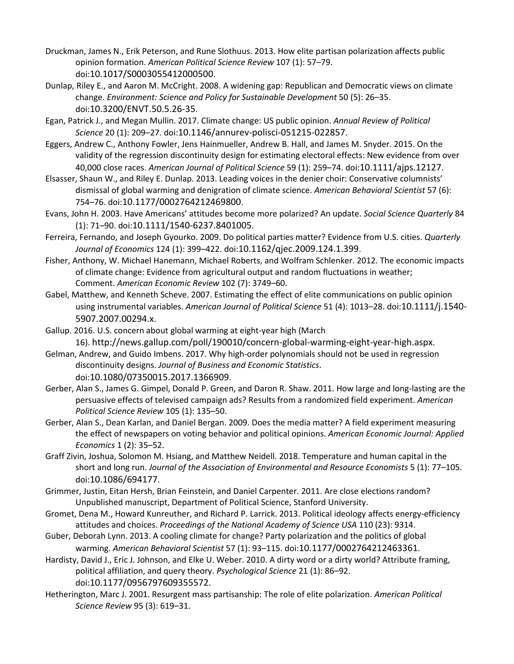- Druckman, James N., Erik Peterson, and Rune Slothuus. 2013. How elite partisan polarization affects public opinion formation. *American Political Science Review* 107 (1): 57–79. doi:10.1017/S0003055412000500.
- Dunlap, Riley E., and Aaron M. McCright. 2008. A widening gap: Republican and Democratic views on climate change. *Environment: Science and Policy for Sustainable Development* 50 (5): 26–35. doi:10.3200/ENVT.50.5.26-35.
- Egan, Patrick J., and Megan Mullin. 2017. Climate change: US public opinion. *Annual Review of Political Science* 20 (1): 209–27. doi:10.1146/annurev-polisci-051215-022857.
- Eggers, Andrew C., Anthony Fowler, Jens Hainmueller, Andrew B. Hall, and James M. Snyder. 2015. On the validity of the regression discontinuity design for estimating electoral effects: New evidence from over 40,000 close races. *American Journal of Political Science* 59 (1): 259–74. doi:10.1111/ajps.12127.
- Elsasser, Shaun W., and Riley E. Dunlap. 2013. Leading voices in the denier choir: Conservative columnists' dismissal of global warming and denigration of climate science. *American Behavioral Scientist* 57 (6): 754–76. doi:10.1177/0002764212469800.
- Evans, John H. 2003. Have Americans' attitudes become more polarized? An update. *Social Science Quarterly* 84 (1): 71–90. doi:10.1111/1540-6237.8401005.
- Ferreira, Fernando, and Joseph Gyourko. 2009. Do political parties matter? Evidence from U.S. cities. *Quarterly Journal of Economics* 124 (1): 399–422. doi:10.1162/qjec.2009.124.1.399.
- Fisher, Anthony, W. Michael Hanemann, Michael Roberts, and Wolfram Schlenker. 2012. The economic impacts of climate change: Evidence from agricultural output and random fluctuations in weather; Comment. *American Economic Review* 102 (7): 3749–60.
- Gabel, Matthew, and Kenneth Scheve. 2007. Estimating the effect of elite communications on public opinion using instrumental variables. *American Journal of Political Science* 51 (4): 1013–28. doi:10.1111/j.1540- 5907.2007.00294.x.
- Gallup. 2016. U.S. concern about global warming at eight-year high (March 16). http://news.gallup.com/poll/190010/concern-global-warming-eight-year-high.aspx.
- Gelman, Andrew, and Guido Imbens. 2017. Why high-order polynomials should not be used in regression discontinuity designs. *Journal of Business and Economic Statistics*. doi:10.1080/07350015.2017.1366909.
- Gerber, Alan S., James G. Gimpel, Donald P. Green, and Daron R. Shaw. 2011. How large and long-lasting are the persuasive effects of televised campaign ads? Results from a randomized field experiment. *American Political Science Review* 105 (1): 135–50.
- Gerber, Alan S., Dean Karlan, and Daniel Bergan. 2009. Does the media matter? A field experiment measuring the effect of newspapers on voting behavior and political opinions. *American Economic Journal: Applied Economics* 1 (2): 35–52.
- Graff Zivin, Joshua, Solomon M. Hsiang, and Matthew Neidell. 2018. Temperature and human capital in the short and long run. *Journal of the Association of Environmental and Resource Economists* 5 (1): 77–105. doi:10.1086/694177.
- Grimmer, Justin, Eitan Hersh, Brian Feinstein, and Daniel Carpenter. 2011. Are close elections random? Unpublished manuscript, Department of Political Science, Stanford University.
- Gromet, Dena M., Howard Kunreuther, and Richard P. Larrick. 2013. Political ideology affects energy-efficiency attitudes and choices. *Proceedings of the National Academy of Science USA* 110 (23): 9314.
- Guber, Deborah Lynn. 2013. A cooling climate for change? Party polarization and the politics of global warming. *American Behavioral Scientist* 57 (1): 93–115. doi:10.1177/0002764212463361.
- Hardisty, David J., Eric J. Johnson, and Elke U. Weber. 2010. A dirty word or a dirty world? Attribute framing, political affiliation, and query theory. *Psychological Science* 21 (1): 86–92. doi:10.1177/0956797609355572.
- Hetherington, Marc J. 2001. Resurgent mass partisanship: The role of elite polarization. *American Political Science Review* 95 (3): 619–31.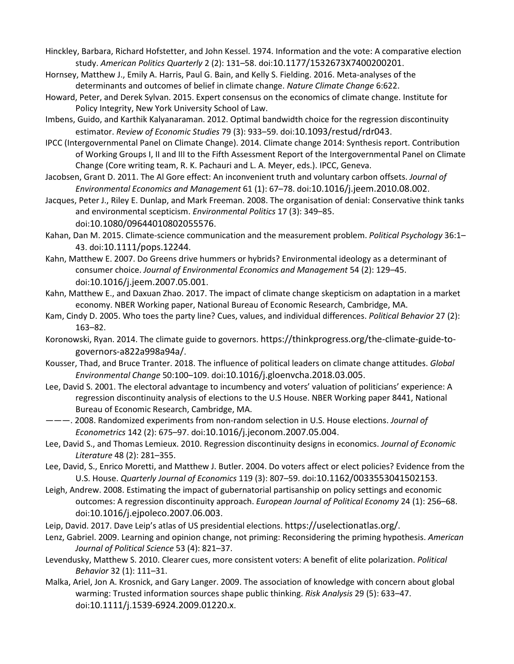Hinckley, Barbara, Richard Hofstetter, and John Kessel. 1974. Information and the vote: A comparative election study. *American Politics Quarterly* 2 (2): 131–58. doi:10.1177/1532673X7400200201.

- Hornsey, Matthew J., Emily A. Harris, Paul G. Bain, and Kelly S. Fielding. 2016. Meta-analyses of the determinants and outcomes of belief in climate change. *Nature Climate Change* 6:622.
- Howard, Peter, and Derek Sylvan. 2015. Expert consensus on the economics of climate change. Institute for Policy Integrity, New York University School of Law.
- Imbens, Guido, and Karthik Kalyanaraman. 2012. Optimal bandwidth choice for the regression discontinuity estimator. *Review of Economic Studies* 79 (3): 933–59. doi:10.1093/restud/rdr043.
- IPCC (Intergovernmental Panel on Climate Change). 2014. Climate change 2014: Synthesis report. Contribution of Working Groups I, II and III to the Fifth Assessment Report of the Intergovernmental Panel on Climate Change (Core writing team, R. K. Pachauri and L. A. Meyer, eds.). IPCC, Geneva.
- Jacobsen, Grant D. 2011. The Al Gore effect: An inconvenient truth and voluntary carbon offsets. *Journal of Environmental Economics and Management* 61 (1): 67–78. doi:10.1016/j.jeem.2010.08.002.
- Jacques, Peter J., Riley E. Dunlap, and Mark Freeman. 2008. The organisation of denial: Conservative think tanks and environmental scepticism. *Environmental Politics* 17 (3): 349–85. doi:10.1080/09644010802055576.
- Kahan, Dan M. 2015. Climate-science communication and the measurement problem. *Political Psychology* 36:1– 43. doi:10.1111/pops.12244.
- Kahn, Matthew E. 2007. Do Greens drive hummers or hybrids? Environmental ideology as a determinant of consumer choice. *Journal of Environmental Economics and Management* 54 (2): 129–45. doi:10.1016/j.jeem.2007.05.001.
- Kahn, Matthew E., and Daxuan Zhao. 2017. The impact of climate change skepticism on adaptation in a market economy. NBER Working paper, National Bureau of Economic Research, Cambridge, MA.
- Kam, Cindy D. 2005. Who toes the party line? Cues, values, and individual differences. *Political Behavior* 27 (2): 163–82.
- Koronowski, Ryan. 2014. The climate guide to governors. https://thinkprogress.org/the-climate-guide-togovernors-a822a998a94a/.
- Kousser, Thad, and Bruce Tranter. 2018. The influence of political leaders on climate change attitudes. *Global Environmental Change* 50:100–109. doi:10.1016/j.gloenvcha.2018.03.005.
- Lee, David S. 2001. The electoral advantage to incumbency and voters' valuation of politicians' experience: A regression discontinuity analysis of elections to the U.S House. NBER Working paper 8441, National Bureau of Economic Research, Cambridge, MA.
- ———. 2008. Randomized experiments from non-random selection in U.S. House elections. *Journal of Econometrics* 142 (2): 675–97. doi:10.1016/j.jeconom.2007.05.004.
- Lee, David S., and Thomas Lemieux. 2010. Regression discontinuity designs in economics. *Journal of Economic Literature* 48 (2): 281–355.
- Lee, David, S., Enrico Moretti, and Matthew J. Butler. 2004. Do voters affect or elect policies? Evidence from the U.S. House. *Quarterly Journal of Economics* 119 (3): 807–59. doi:10.1162/0033553041502153.
- Leigh, Andrew. 2008. Estimating the impact of gubernatorial partisanship on policy settings and economic outcomes: A regression discontinuity approach. *European Journal of Political Economy* 24 (1): 256–68. doi:10.1016/j.ejpoleco.2007.06.003.
- Leip, David. 2017. Dave Leip's atlas of US presidential elections. https://uselectionatlas.org/.
- Lenz, Gabriel. 2009. Learning and opinion change, not priming: Reconsidering the priming hypothesis. *American Journal of Political Science* 53 (4): 821–37.
- Levendusky, Matthew S. 2010. Clearer cues, more consistent voters: A benefit of elite polarization. *Political Behavior* 32 (1): 111–31.
- Malka, Ariel, Jon A. Krosnick, and Gary Langer. 2009. The association of knowledge with concern about global warming: Trusted information sources shape public thinking. *Risk Analysis* 29 (5): 633–47. doi:10.1111/j.1539-6924.2009.01220.x.